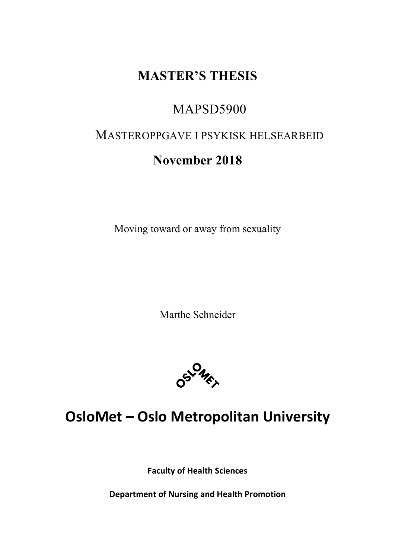# **MASTER'S THESIS**

# MAPSD5900

# MASTEROPPGAVE I PSYKISK HELSEARBEID

# **November 2018**

Moving toward or away from sexuality

Marthe Schneider



# **OsloMet – Oslo Metropolitan University**

**Faculty of Health Sciences**

**Department of Nursing and Health Promotion**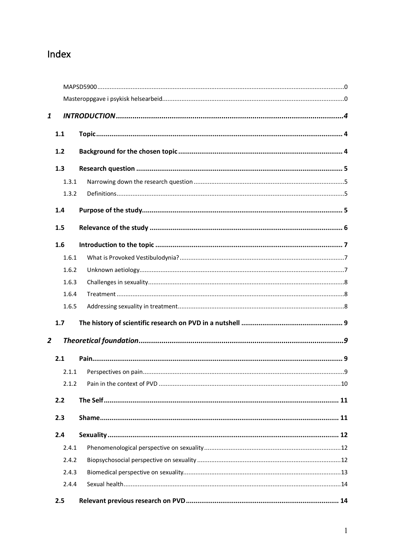# Index

| $\mathbf{1}$   |       |  |  |  |
|----------------|-------|--|--|--|
|                |       |  |  |  |
|                | 1.1   |  |  |  |
|                | 1.2   |  |  |  |
|                | 1.3   |  |  |  |
|                | 1.3.1 |  |  |  |
|                | 1.3.2 |  |  |  |
|                | 1.4   |  |  |  |
|                | 1.5   |  |  |  |
|                | 1.6   |  |  |  |
|                | 1.6.1 |  |  |  |
|                | 1.6.2 |  |  |  |
|                | 1.6.3 |  |  |  |
|                | 1.6.4 |  |  |  |
|                | 1.6.5 |  |  |  |
|                | 1.7   |  |  |  |
| $\overline{2}$ |       |  |  |  |
|                | 2.1   |  |  |  |
|                | 2.1.1 |  |  |  |
|                | 2.1.2 |  |  |  |
|                | 2.2   |  |  |  |
|                | 2.3   |  |  |  |
|                | 2.4   |  |  |  |
|                | 2.4.1 |  |  |  |
|                | 2.4.2 |  |  |  |
|                | 2.4.3 |  |  |  |
|                | 2.4.4 |  |  |  |
|                | 2.5   |  |  |  |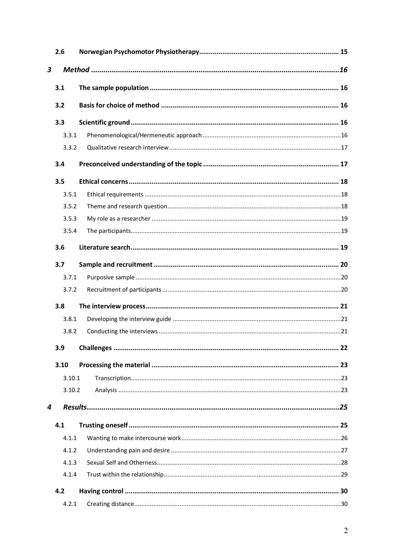|                         | 2.6    |  |
|-------------------------|--------|--|
| $\overline{\mathbf{3}}$ |        |  |
|                         | 3.1    |  |
|                         |        |  |
|                         | 3.2    |  |
|                         | 3.3    |  |
|                         | 3.3.1  |  |
|                         | 3.3.2  |  |
|                         | 3.4    |  |
|                         | 3.5    |  |
|                         | 3.5.1  |  |
|                         | 3.5.2  |  |
|                         | 3.5.3  |  |
|                         | 3.5.4  |  |
|                         | 3.6    |  |
|                         | 3.7    |  |
|                         | 3.7.1  |  |
|                         | 3.7.2  |  |
|                         | 3.8    |  |
|                         | 3.8.1  |  |
|                         | 3.8.2  |  |
|                         | 3.9    |  |
|                         | 3.10   |  |
|                         | 3.10.1 |  |
|                         | 3.10.2 |  |
| 4                       |        |  |
|                         | 4.1    |  |
|                         | 4.1.1  |  |
|                         | 4.1.2  |  |
|                         | 4.1.3  |  |
|                         | 4.1.4  |  |
|                         | 4.2    |  |
|                         | 4.2.1  |  |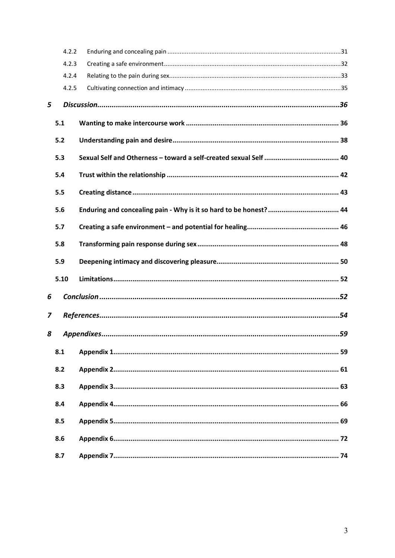|   | 4.2.2 |  |  |  |
|---|-------|--|--|--|
|   | 4.2.3 |  |  |  |
|   | 4.2.4 |  |  |  |
|   | 4.2.5 |  |  |  |
| 5 |       |  |  |  |
|   | 5.1   |  |  |  |
|   | 5.2   |  |  |  |
|   | 5.3   |  |  |  |
|   | 5.4   |  |  |  |
|   | 5.5   |  |  |  |
|   | 5.6   |  |  |  |
|   | 5.7   |  |  |  |
|   | 5.8   |  |  |  |
|   | 5.9   |  |  |  |
|   | 5.10  |  |  |  |
| 6 |       |  |  |  |
| 7 |       |  |  |  |
| 8 |       |  |  |  |
|   | 8.1   |  |  |  |
|   | 8.2   |  |  |  |
|   | 8.3   |  |  |  |
|   | 8.4   |  |  |  |
|   | 8.5   |  |  |  |
|   | 8.6   |  |  |  |
|   | 8.7   |  |  |  |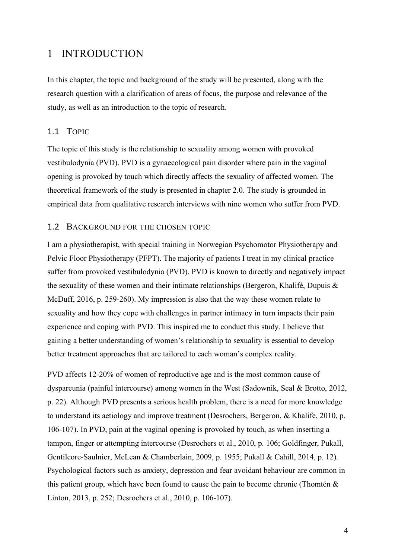## 1 INTRODUCTION

In this chapter, the topic and background of the study will be presented, along with the research question with a clarification of areas of focus, the purpose and relevance of the study, as well as an introduction to the topic of research.

## 1.1 TOPIC

The topic of this study is the relationship to sexuality among women with provoked vestibulodynia (PVD). PVD is a gynaecological pain disorder where pain in the vaginal opening is provoked by touch which directly affects the sexuality of affected women. The theoretical framework of the study is presented in chapter 2.0. The study is grounded in empirical data from qualitative research interviews with nine women who suffer from PVD.

#### 1.2 BACKGROUND FOR THE CHOSEN TOPIC

I am a physiotherapist, with special training in Norwegian Psychomotor Physiotherapy and Pelvic Floor Physiotherapy (PFPT). The majority of patients I treat in my clinical practice suffer from provoked vestibulodynia (PVD). PVD is known to directly and negatively impact the sexuality of these women and their intimate relationships (Bergeron, Khalifé, Dupuis & McDuff, 2016, p. 259-260). My impression is also that the way these women relate to sexuality and how they cope with challenges in partner intimacy in turn impacts their pain experience and coping with PVD. This inspired me to conduct this study. I believe that gaining a better understanding of women's relationship to sexuality is essential to develop better treatment approaches that are tailored to each woman's complex reality.

PVD affects 12-20% of women of reproductive age and is the most common cause of dyspareunia (painful intercourse) among women in the West (Sadownik, Seal & Brotto, 2012, p. 22). Although PVD presents a serious health problem, there is a need for more knowledge to understand its aetiology and improve treatment (Desrochers, Bergeron, & Khalife, 2010, p. 106-107). In PVD, pain at the vaginal opening is provoked by touch, as when inserting a tampon, finger or attempting intercourse (Desrochers et al., 2010, p. 106; Goldfinger, Pukall, Gentilcore-Saulnier, McLean & Chamberlain, 2009, p. 1955; Pukall & Cahill, 2014, p. 12). Psychological factors such as anxiety, depression and fear avoidant behaviour are common in this patient group, which have been found to cause the pain to become chronic (Thomtén  $\&$ Linton, 2013, p. 252; Desrochers et al., 2010, p. 106-107).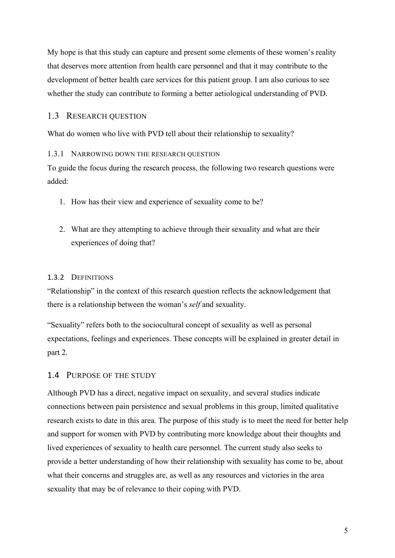My hope is that this study can capture and present some elements of these women's reality that deserves more attention from health care personnel and that it may contribute to the development of better health care services for this patient group. I am also curious to see whether the study can contribute to forming a better aetiological understanding of PVD.

## 1.3 RESEARCH QUESTION

What do women who live with PVD tell about their relationship to sexuality?

#### 1.3.1 NARROWING DOWN THE RESEARCH QUESTION

To guide the focus during the research process, the following two research questions were added:

- 1. How has their view and experience of sexuality come to be?
- 2. What are they attempting to achieve through their sexuality and what are their experiences of doing that?

## 1.3.2 DEFINITIONS

"Relationship" in the context of this research question reflects the acknowledgement that there is a relationship between the woman's *self* and sexuality.

"Sexuality" refers both to the sociocultural concept of sexuality as well as personal expectations, feelings and experiences. These concepts will be explained in greater detail in part 2.

## 1.4 PURPOSE OF THE STUDY

Although PVD has a direct, negative impact on sexuality, and several studies indicate connections between pain persistence and sexual problems in this group, limited qualitative research exists to date in this area. The purpose of this study is to meet the need for better help and support for women with PVD by contributing more knowledge about their thoughts and lived experiences of sexuality to health care personnel. The current study also seeks to provide a better understanding of how their relationship with sexuality has come to be, about what their concerns and struggles are, as well as any resources and victories in the area sexuality that may be of relevance to their coping with PVD.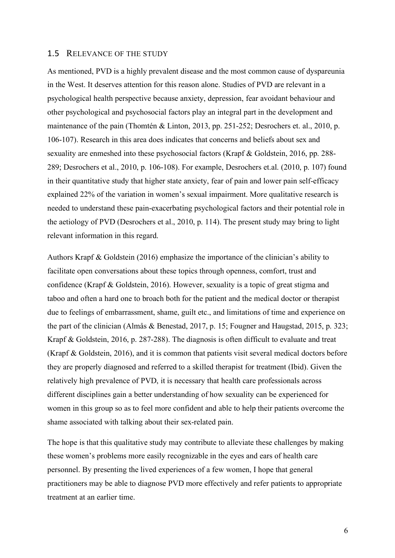#### 1.5 RELEVANCE OF THE STUDY

As mentioned, PVD is a highly prevalent disease and the most common cause of dyspareunia in the West. It deserves attention for this reason alone. Studies of PVD are relevant in a psychological health perspective because anxiety, depression, fear avoidant behaviour and other psychological and psychosocial factors play an integral part in the development and maintenance of the pain (Thomtén & Linton, 2013, pp. 251-252; Desrochers et. al., 2010, p. 106-107). Research in this area does indicates that concerns and beliefs about sex and sexuality are enmeshed into these psychosocial factors (Krapf & Goldstein, 2016, pp. 288- 289; Desrochers et al., 2010, p. 106-108). For example, Desrochers et.al. (2010, p. 107) found in their quantitative study that higher state anxiety, fear of pain and lower pain self-efficacy explained 22% of the variation in women's sexual impairment. More qualitative research is needed to understand these pain-exacerbating psychological factors and their potential role in the aetiology of PVD (Desrochers et al., 2010, p. 114). The present study may bring to light relevant information in this regard.

Authors Krapf & Goldstein (2016) emphasize the importance of the clinician's ability to facilitate open conversations about these topics through openness, comfort, trust and confidence (Krapf & Goldstein, 2016). However, sexuality is a topic of great stigma and taboo and often a hard one to broach both for the patient and the medical doctor or therapist due to feelings of embarrassment, shame, guilt etc., and limitations of time and experience on the part of the clinician (Almås & Benestad, 2017, p. 15; Fougner and Haugstad, 2015, p. 323; Krapf & Goldstein, 2016, p. 287-288). The diagnosis is often difficult to evaluate and treat (Krapf & Goldstein, 2016), and it is common that patients visit several medical doctors before they are properly diagnosed and referred to a skilled therapist for treatment (Ibid). Given the relatively high prevalence of PVD, it is necessary that health care professionals across different disciplines gain a better understanding of how sexuality can be experienced for women in this group so as to feel more confident and able to help their patients overcome the shame associated with talking about their sex-related pain.

The hope is that this qualitative study may contribute to alleviate these challenges by making these women's problems more easily recognizable in the eyes and ears of health care personnel. By presenting the lived experiences of a few women, I hope that general practitioners may be able to diagnose PVD more effectively and refer patients to appropriate treatment at an earlier time.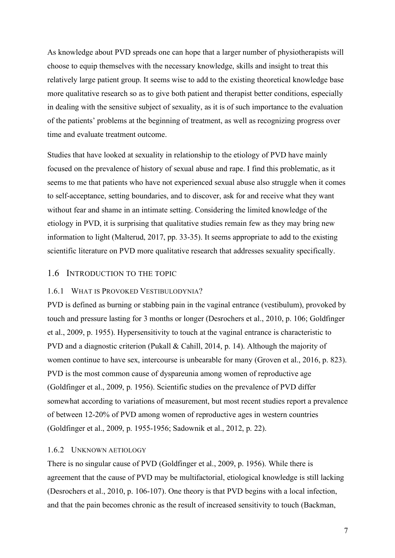As knowledge about PVD spreads one can hope that a larger number of physiotherapists will choose to equip themselves with the necessary knowledge, skills and insight to treat this relatively large patient group. It seems wise to add to the existing theoretical knowledge base more qualitative research so as to give both patient and therapist better conditions, especially in dealing with the sensitive subject of sexuality, as it is of such importance to the evaluation of the patients' problems at the beginning of treatment, as well as recognizing progress over time and evaluate treatment outcome.

Studies that have looked at sexuality in relationship to the etiology of PVD have mainly focused on the prevalence of history of sexual abuse and rape. I find this problematic, as it seems to me that patients who have not experienced sexual abuse also struggle when it comes to self-acceptance, setting boundaries, and to discover, ask for and receive what they want without fear and shame in an intimate setting. Considering the limited knowledge of the etiology in PVD, it is surprising that qualitative studies remain few as they may bring new information to light (Malterud, 2017, pp. 33-35). It seems appropriate to add to the existing scientific literature on PVD more qualitative research that addresses sexuality specifically.

#### 1.6 INTRODUCTION TO THE TOPIC

#### 1.6.1 WHAT IS PROVOKED VESTIBULODYNIA?

PVD is defined as burning or stabbing pain in the vaginal entrance (vestibulum), provoked by touch and pressure lasting for 3 months or longer (Desrochers et al., 2010, p. 106; Goldfinger et al., 2009, p. 1955). Hypersensitivity to touch at the vaginal entrance is characteristic to PVD and a diagnostic criterion (Pukall & Cahill, 2014, p. 14). Although the majority of women continue to have sex, intercourse is unbearable for many (Groven et al., 2016, p. 823). PVD is the most common cause of dyspareunia among women of reproductive age (Goldfinger et al., 2009, p. 1956). Scientific studies on the prevalence of PVD differ somewhat according to variations of measurement, but most recent studies report a prevalence of between 12-20% of PVD among women of reproductive ages in western countries (Goldfinger et al., 2009, p. 1955-1956; Sadownik et al., 2012, p. 22).

#### 1.6.2 UNKNOWN AETIOLOGY

There is no singular cause of PVD (Goldfinger et al., 2009, p. 1956). While there is agreement that the cause of PVD may be multifactorial, etiological knowledge is still lacking (Desrochers et al., 2010, p. 106-107). One theory is that PVD begins with a local infection, and that the pain becomes chronic as the result of increased sensitivity to touch (Backman,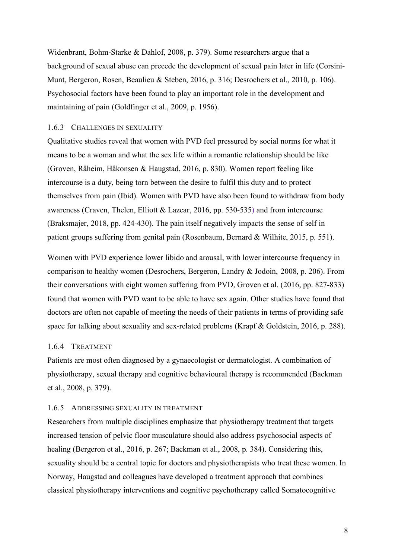Widenbrant, Bohm-Starke & Dahlof, 2008, p. 379). Some researchers argue that a background of sexual abuse can precede the development of sexual pain later in life (Corsini-Munt, Bergeron, Rosen, Beaulieu & Steben, 2016, p. 316; Desrochers et al., 2010, p. 106). Psychosocial factors have been found to play an important role in the development and maintaining of pain (Goldfinger et al., 2009, p. 1956).

#### 1.6.3 CHALLENGES IN SEXUALITY

Qualitative studies reveal that women with PVD feel pressured by social norms for what it means to be a woman and what the sex life within a romantic relationship should be like (Groven, Råheim, Håkonsen & Haugstad, 2016, p. 830). Women report feeling like intercourse is a duty, being torn between the desire to fulfil this duty and to protect themselves from pain (Ibid). Women with PVD have also been found to withdraw from body awareness (Craven, Thelen, Elliott & Lazear, 2016, pp. 530-535) and from intercourse (Braksmajer, 2018, pp. 424-430). The pain itself negatively impacts the sense of self in patient groups suffering from genital pain (Rosenbaum, Bernard & Wilhite, 2015, p. 551).

Women with PVD experience lower libido and arousal, with lower intercourse frequency in comparison to healthy women (Desrochers, Bergeron, Landry & Jodoin, 2008, p. 206). From their conversations with eight women suffering from PVD, Groven et al. (2016, pp. 827-833) found that women with PVD want to be able to have sex again. Other studies have found that doctors are often not capable of meeting the needs of their patients in terms of providing safe space for talking about sexuality and sex-related problems (Krapf & Goldstein, 2016, p. 288).

#### 1.6.4 TREATMENT

Patients are most often diagnosed by a gynaecologist or dermatologist. A combination of physiotherapy, sexual therapy and cognitive behavioural therapy is recommended (Backman et al., 2008, p. 379).

#### 1.6.5 ADDRESSING SEXUALITY IN TREATMENT

Researchers from multiple disciplines emphasize that physiotherapy treatment that targets increased tension of pelvic floor musculature should also address psychosocial aspects of healing (Bergeron et al., 2016, p. 267; Backman et al., 2008, p. 384). Considering this, sexuality should be a central topic for doctors and physiotherapists who treat these women. In Norway, Haugstad and colleagues have developed a treatment approach that combines classical physiotherapy interventions and cognitive psychotherapy called Somatocognitive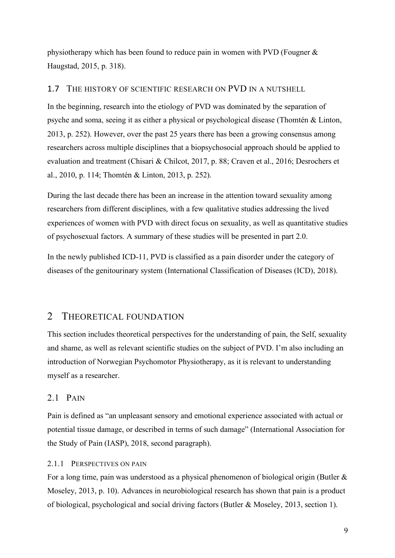physiotherapy which has been found to reduce pain in women with PVD (Fougner & Haugstad, 2015, p. 318).

## 1.7 THE HISTORY OF SCIENTIFIC RESEARCH ON PVD IN A NUTSHELL

In the beginning, research into the etiology of PVD was dominated by the separation of psyche and soma, seeing it as either a physical or psychological disease (Thomtén & Linton, 2013, p. 252). However, over the past 25 years there has been a growing consensus among researchers across multiple disciplines that a biopsychosocial approach should be applied to evaluation and treatment (Chisari & Chilcot, 2017, p. 88; Craven et al., 2016; Desrochers et al., 2010, p. 114; Thomtén & Linton, 2013, p. 252).

During the last decade there has been an increase in the attention toward sexuality among researchers from different disciplines, with a few qualitative studies addressing the lived experiences of women with PVD with direct focus on sexuality, as well as quantitative studies of psychosexual factors. A summary of these studies will be presented in part 2.0.

In the newly published ICD-11, PVD is classified as a pain disorder under the category of diseases of the genitourinary system (International Classification of Diseases (ICD), 2018).

## 2 THEORETICAL FOUNDATION

This section includes theoretical perspectives for the understanding of pain, the Self, sexuality and shame, as well as relevant scientific studies on the subject of PVD. I'm also including an introduction of Norwegian Psychomotor Physiotherapy, as it is relevant to understanding myself as a researcher.

## 2.1 PAIN

Pain is defined as "an unpleasant sensory and emotional experience associated with actual or potential tissue damage, or described in terms of such damage" (International Association for the Study of Pain (IASP), 2018, second paragraph).

## 2.1.1 PERSPECTIVES ON PAIN

For a long time, pain was understood as a physical phenomenon of biological origin (Butler & Moseley, 2013, p. 10). Advances in neurobiological research has shown that pain is a product of biological, psychological and social driving factors (Butler & Moseley, 2013, section 1).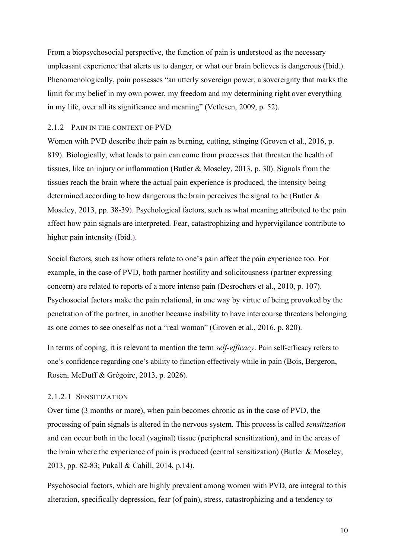From a biopsychosocial perspective, the function of pain is understood as the necessary unpleasant experience that alerts us to danger, or what our brain believes is dangerous (Ibid.). Phenomenologically, pain possesses "an utterly sovereign power, a sovereignty that marks the limit for my belief in my own power, my freedom and my determining right over everything in my life, over all its significance and meaning" (Vetlesen, 2009, p. 52).

#### 2.1.2 PAIN IN THE CONTEXT OF PVD

Women with PVD describe their pain as burning, cutting, stinging (Groven et al., 2016, p. 819). Biologically, what leads to pain can come from processes that threaten the health of tissues, like an injury or inflammation (Butler & Moseley, 2013, p. 30). Signals from the tissues reach the brain where the actual pain experience is produced, the intensity being determined according to how dangerous the brain perceives the signal to be (Butler & Moseley, 2013, pp. 38-39). Psychological factors, such as what meaning attributed to the pain affect how pain signals are interpreted. Fear, catastrophizing and hypervigilance contribute to higher pain intensity (Ibid.).

Social factors, such as how others relate to one's pain affect the pain experience too. For example, in the case of PVD, both partner hostility and solicitousness (partner expressing concern) are related to reports of a more intense pain (Desrochers et al., 2010, p. 107). Psychosocial factors make the pain relational, in one way by virtue of being provoked by the penetration of the partner, in another because inability to have intercourse threatens belonging as one comes to see oneself as not a "real woman" (Groven et al., 2016, p. 820).

In terms of coping, it is relevant to mention the term *self-efficacy*. Pain self-efficacy refers to one's confidence regarding one's ability to function effectively while in pain (Bois, Bergeron, Rosen, McDuff & Grégoire, 2013, p. 2026).

## 2.1.2.1 SENSITIZATION

Over time (3 months or more), when pain becomes chronic as in the case of PVD, the processing of pain signals is altered in the nervous system. This process is called *sensitization* and can occur both in the local (vaginal) tissue (peripheral sensitization), and in the areas of the brain where the experience of pain is produced (central sensitization) (Butler & Moseley, 2013, pp. 82-83; Pukall & Cahill, 2014, p.14).

Psychosocial factors, which are highly prevalent among women with PVD, are integral to this alteration, specifically depression, fear (of pain), stress, catastrophizing and a tendency to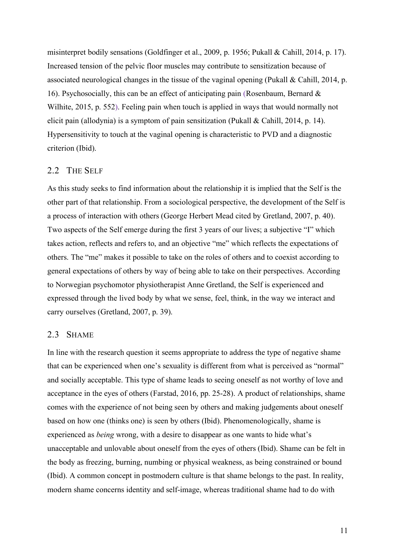misinterpret bodily sensations (Goldfinger et al., 2009, p. 1956; Pukall & Cahill, 2014, p. 17). Increased tension of the pelvic floor muscles may contribute to sensitization because of associated neurological changes in the tissue of the vaginal opening (Pukall & Cahill, 2014, p. 16). Psychosocially, this can be an effect of anticipating pain (Rosenbaum, Bernard  $\&$ Wilhite, 2015, p. 552). Feeling pain when touch is applied in ways that would normally not elicit pain (allodynia) is a symptom of pain sensitization (Pukall & Cahill, 2014, p. 14). Hypersensitivity to touch at the vaginal opening is characteristic to PVD and a diagnostic criterion (Ibid).

### 2.2 THE SELF

As this study seeks to find information about the relationship it is implied that the Self is the other part of that relationship. From a sociological perspective, the development of the Self is a process of interaction with others (George Herbert Mead cited by Gretland, 2007, p. 40). Two aspects of the Self emerge during the first 3 years of our lives; a subjective "I" which takes action, reflects and refers to, and an objective "me" which reflects the expectations of others. The "me" makes it possible to take on the roles of others and to coexist according to general expectations of others by way of being able to take on their perspectives. According to Norwegian psychomotor physiotherapist Anne Gretland, the Self is experienced and expressed through the lived body by what we sense, feel, think, in the way we interact and carry ourselves (Gretland, 2007, p. 39).

## 2.3 SHAME

In line with the research question it seems appropriate to address the type of negative shame that can be experienced when one's sexuality is different from what is perceived as "normal" and socially acceptable. This type of shame leads to seeing oneself as not worthy of love and acceptance in the eyes of others (Farstad, 2016, pp. 25-28). A product of relationships, shame comes with the experience of not being seen by others and making judgements about oneself based on how one (thinks one) is seen by others (Ibid). Phenomenologically, shame is experienced as *being* wrong, with a desire to disappear as one wants to hide what's unacceptable and unlovable about oneself from the eyes of others (Ibid). Shame can be felt in the body as freezing, burning, numbing or physical weakness, as being constrained or bound (Ibid). A common concept in postmodern culture is that shame belongs to the past. In reality, modern shame concerns identity and self-image, whereas traditional shame had to do with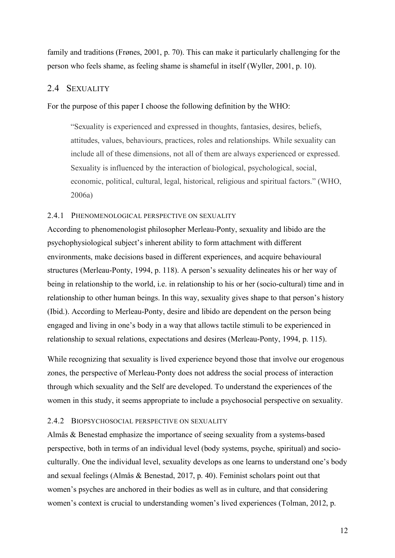family and traditions (Frønes, 2001, p. 70). This can make it particularly challenging for the person who feels shame, as feeling shame is shameful in itself (Wyller, 2001, p. 10).

## 2.4 SEXUALITY

For the purpose of this paper I choose the following definition by the WHO:

"Sexuality is experienced and expressed in thoughts, fantasies, desires, beliefs, attitudes, values, behaviours, practices, roles and relationships. While sexuality can include all of these dimensions, not all of them are always experienced or expressed. Sexuality is influenced by the interaction of biological, psychological, social, economic, political, cultural, legal, historical, religious and spiritual factors." (WHO, 2006a)

#### 2.4.1 PHENOMENOLOGICAL PERSPECTIVE ON SEXUALITY

According to phenomenologist philosopher Merleau-Ponty, sexuality and libido are the psychophysiological subject's inherent ability to form attachment with different environments, make decisions based in different experiences, and acquire behavioural structures (Merleau-Ponty, 1994, p. 118). A person's sexuality delineates his or her way of being in relationship to the world, i.e. in relationship to his or her (socio-cultural) time and in relationship to other human beings. In this way, sexuality gives shape to that person's history (Ibid.). According to Merleau-Ponty, desire and libido are dependent on the person being engaged and living in one's body in a way that allows tactile stimuli to be experienced in relationship to sexual relations, expectations and desires (Merleau-Ponty, 1994, p. 115).

While recognizing that sexuality is lived experience beyond those that involve our erogenous zones, the perspective of Merleau-Ponty does not address the social process of interaction through which sexuality and the Self are developed. To understand the experiences of the women in this study, it seems appropriate to include a psychosocial perspective on sexuality.

#### 2.4.2 BIOPSYCHOSOCIAL PERSPECTIVE ON SEXUALITY

Almås & Benestad emphasize the importance of seeing sexuality from a systems-based perspective, both in terms of an individual level (body systems, psyche, spiritual) and socioculturally. One the individual level, sexuality develops as one learns to understand one's body and sexual feelings (Almås & Benestad, 2017, p. 40). Feminist scholars point out that women's psyches are anchored in their bodies as well as in culture, and that considering women's context is crucial to understanding women's lived experiences (Tolman, 2012, p.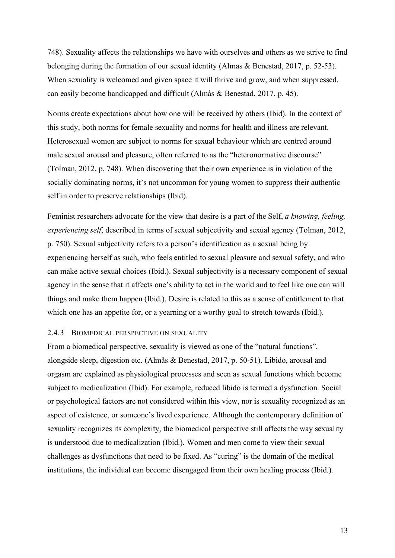748). Sexuality affects the relationships we have with ourselves and others as we strive to find belonging during the formation of our sexual identity (Almås & Benestad, 2017, p. 52-53). When sexuality is welcomed and given space it will thrive and grow, and when suppressed, can easily become handicapped and difficult (Almås & Benestad, 2017, p. 45).

Norms create expectations about how one will be received by others (Ibid). In the context of this study, both norms for female sexuality and norms for health and illness are relevant. Heterosexual women are subject to norms for sexual behaviour which are centred around male sexual arousal and pleasure, often referred to as the "heteronormative discourse" (Tolman, 2012, p. 748). When discovering that their own experience is in violation of the socially dominating norms, it's not uncommon for young women to suppress their authentic self in order to preserve relationships (Ibid).

Feminist researchers advocate for the view that desire is a part of the Self, *a knowing, feeling, experiencing self*, described in terms of sexual subjectivity and sexual agency (Tolman, 2012, p. 750). Sexual subjectivity refers to a person's identification as a sexual being by experiencing herself as such, who feels entitled to sexual pleasure and sexual safety, and who can make active sexual choices (Ibid.). Sexual subjectivity is a necessary component of sexual agency in the sense that it affects one's ability to act in the world and to feel like one can will things and make them happen (Ibid.). Desire is related to this as a sense of entitlement to that which one has an appetite for, or a yearning or a worthy goal to stretch towards (Ibid.).

#### 2.4.3 BIOMEDICAL PERSPECTIVE ON SEXUALITY

From a biomedical perspective, sexuality is viewed as one of the "natural functions", alongside sleep, digestion etc. (Almås & Benestad, 2017, p. 50-51). Libido, arousal and orgasm are explained as physiological processes and seen as sexual functions which become subject to medicalization (Ibid). For example, reduced libido is termed a dysfunction. Social or psychological factors are not considered within this view, nor is sexuality recognized as an aspect of existence, or someone's lived experience. Although the contemporary definition of sexuality recognizes its complexity, the biomedical perspective still affects the way sexuality is understood due to medicalization (Ibid.). Women and men come to view their sexual challenges as dysfunctions that need to be fixed. As "curing" is the domain of the medical institutions, the individual can become disengaged from their own healing process (Ibid.).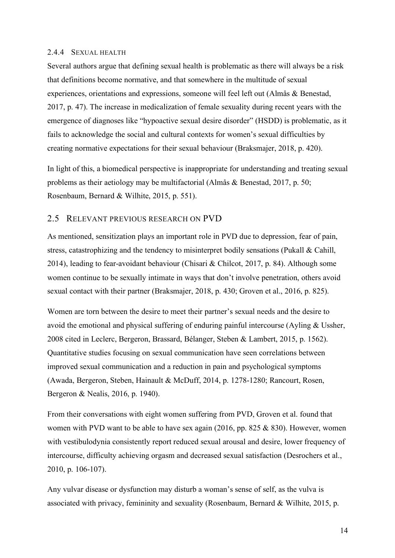#### 2.4.4 SEXUAL HEALTH

Several authors argue that defining sexual health is problematic as there will always be a risk that definitions become normative, and that somewhere in the multitude of sexual experiences, orientations and expressions, someone will feel left out (Almås & Benestad, 2017, p. 47). The increase in medicalization of female sexuality during recent years with the emergence of diagnoses like "hypoactive sexual desire disorder" (HSDD) is problematic, as it fails to acknowledge the social and cultural contexts for women's sexual difficulties by creating normative expectations for their sexual behaviour (Braksmajer, 2018, p. 420).

In light of this, a biomedical perspective is inappropriate for understanding and treating sexual problems as their aetiology may be multifactorial (Almås & Benestad, 2017, p. 50; Rosenbaum, Bernard & Wilhite, 2015, p. 551).

## 2.5 RELEVANT PREVIOUS RESEARCH ON PVD

As mentioned, sensitization plays an important role in PVD due to depression, fear of pain, stress, catastrophizing and the tendency to misinterpret bodily sensations (Pukall & Cahill, 2014), leading to fear-avoidant behaviour (Chisari & Chilcot, 2017, p. 84). Although some women continue to be sexually intimate in ways that don't involve penetration, others avoid sexual contact with their partner (Braksmajer, 2018, p. 430; Groven et al., 2016, p. 825).

Women are torn between the desire to meet their partner's sexual needs and the desire to avoid the emotional and physical suffering of enduring painful intercourse (Ayling & Ussher, 2008 cited in Leclerc, Bergeron, Brassard, Bélanger, Steben & Lambert, 2015, p. 1562). Quantitative studies focusing on sexual communication have seen correlations between improved sexual communication and a reduction in pain and psychological symptoms (Awada, Bergeron, Steben, Hainault & McDuff, 2014, p. 1278-1280; Rancourt, Rosen, Bergeron & Nealis, 2016, p. 1940).

From their conversations with eight women suffering from PVD, Groven et al. found that women with PVD want to be able to have sex again (2016, pp. 825 & 830). However, women with vestibulodynia consistently report reduced sexual arousal and desire, lower frequency of intercourse, difficulty achieving orgasm and decreased sexual satisfaction (Desrochers et al., 2010, p. 106-107).

Any vulvar disease or dysfunction may disturb a woman's sense of self, as the vulva is associated with privacy, femininity and sexuality (Rosenbaum, Bernard & Wilhite, 2015, p.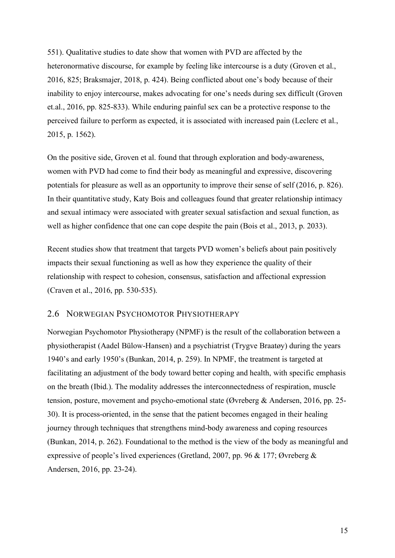551). Qualitative studies to date show that women with PVD are affected by the heteronormative discourse, for example by feeling like intercourse is a duty (Groven et al., 2016, 825; Braksmajer, 2018, p. 424). Being conflicted about one's body because of their inability to enjoy intercourse, makes advocating for one's needs during sex difficult (Groven et.al., 2016, pp. 825-833). While enduring painful sex can be a protective response to the perceived failure to perform as expected, it is associated with increased pain (Leclerc et al., 2015, p. 1562).

On the positive side, Groven et al. found that through exploration and body-awareness, women with PVD had come to find their body as meaningful and expressive, discovering potentials for pleasure as well as an opportunity to improve their sense of self (2016, p. 826). In their quantitative study, Katy Bois and colleagues found that greater relationship intimacy and sexual intimacy were associated with greater sexual satisfaction and sexual function, as well as higher confidence that one can cope despite the pain (Bois et al., 2013, p. 2033).

Recent studies show that treatment that targets PVD women's beliefs about pain positively impacts their sexual functioning as well as how they experience the quality of their relationship with respect to cohesion, consensus, satisfaction and affectional expression (Craven et al., 2016, pp. 530-535).

## 2.6 NORWEGIAN PSYCHOMOTOR PHYSIOTHERAPY

Norwegian Psychomotor Physiotherapy (NPMF) is the result of the collaboration between a physiotherapist (Aadel Bülow-Hansen) and a psychiatrist (Trygve Braatøy) during the years 1940's and early 1950's (Bunkan, 2014, p. 259). In NPMF, the treatment is targeted at facilitating an adjustment of the body toward better coping and health, with specific emphasis on the breath (Ibid.). The modality addresses the interconnectedness of respiration, muscle tension, posture, movement and psycho-emotional state (Øvreberg & Andersen, 2016, pp. 25- 30). It is process-oriented, in the sense that the patient becomes engaged in their healing journey through techniques that strengthens mind-body awareness and coping resources (Bunkan, 2014, p. 262). Foundational to the method is the view of the body as meaningful and expressive of people's lived experiences (Gretland, 2007, pp. 96 & 177; Øvreberg & Andersen, 2016, pp. 23-24).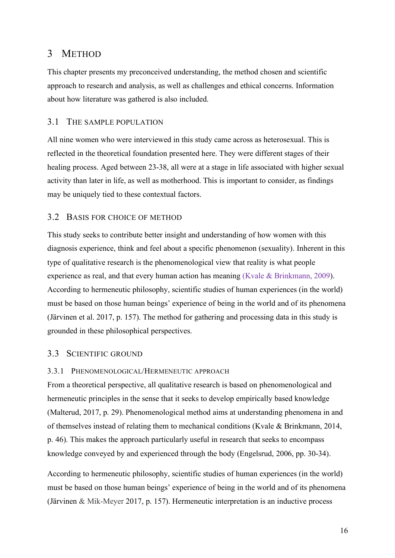## 3 METHOD

This chapter presents my preconceived understanding, the method chosen and scientific approach to research and analysis, as well as challenges and ethical concerns. Information about how literature was gathered is also included.

## 3.1 THE SAMPLE POPULATION

All nine women who were interviewed in this study came across as heterosexual. This is reflected in the theoretical foundation presented here. They were different stages of their healing process. Aged between 23-38, all were at a stage in life associated with higher sexual activity than later in life, as well as motherhood. This is important to consider, as findings may be uniquely tied to these contextual factors.

## 3.2 BASIS FOR CHOICE OF METHOD

This study seeks to contribute better insight and understanding of how women with this diagnosis experience, think and feel about a specific phenomenon (sexuality). Inherent in this type of qualitative research is the phenomenological view that reality is what people experience as real, and that every human action has meaning (Kvale & Brinkmann, 2009). According to hermeneutic philosophy, scientific studies of human experiences (in the world) must be based on those human beings' experience of being in the world and of its phenomena (Järvinen et al. 2017, p. 157). The method for gathering and processing data in this study is grounded in these philosophical perspectives.

## 3.3 SCIENTIFIC GROUND

## 3.3.1 PHENOMENOLOGICAL/HERMENEUTIC APPROACH

From a theoretical perspective, all qualitative research is based on phenomenological and hermeneutic principles in the sense that it seeks to develop empirically based knowledge (Malterud, 2017, p. 29). Phenomenological method aims at understanding phenomena in and of themselves instead of relating them to mechanical conditions (Kvale & Brinkmann, 2014, p. 46). This makes the approach particularly useful in research that seeks to encompass knowledge conveyed by and experienced through the body (Engelsrud, 2006, pp. 30-34).

According to hermeneutic philosophy, scientific studies of human experiences (in the world) must be based on those human beings' experience of being in the world and of its phenomena (Järvinen & Mik-Meyer 2017, p. 157). Hermeneutic interpretation is an inductive process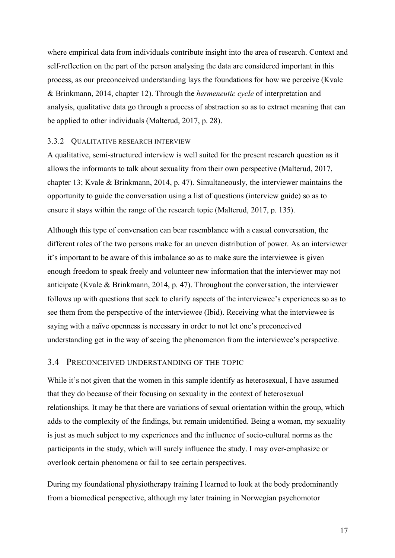where empirical data from individuals contribute insight into the area of research. Context and self-reflection on the part of the person analysing the data are considered important in this process, as our preconceived understanding lays the foundations for how we perceive (Kvale & Brinkmann, 2014, chapter 12). Through the *hermeneutic cycle* of interpretation and analysis, qualitative data go through a process of abstraction so as to extract meaning that can be applied to other individuals (Malterud, 2017, p. 28).

#### 3.3.2 QUALITATIVE RESEARCH INTERVIEW

A qualitative, semi-structured interview is well suited for the present research question as it allows the informants to talk about sexuality from their own perspective (Malterud, 2017, chapter 13; Kvale & Brinkmann, 2014, p. 47). Simultaneously, the interviewer maintains the opportunity to guide the conversation using a list of questions (interview guide) so as to ensure it stays within the range of the research topic (Malterud, 2017, p. 135).

Although this type of conversation can bear resemblance with a casual conversation, the different roles of the two persons make for an uneven distribution of power. As an interviewer it's important to be aware of this imbalance so as to make sure the interviewee is given enough freedom to speak freely and volunteer new information that the interviewer may not anticipate (Kvale & Brinkmann, 2014, p. 47). Throughout the conversation, the interviewer follows up with questions that seek to clarify aspects of the interviewee's experiences so as to see them from the perspective of the interviewee (Ibid). Receiving what the interviewee is saying with a naïve openness is necessary in order to not let one's preconceived understanding get in the way of seeing the phenomenon from the interviewee's perspective.

### 3.4 PRECONCEIVED UNDERSTANDING OF THE TOPIC

While it's not given that the women in this sample identify as heterosexual, I have assumed that they do because of their focusing on sexuality in the context of heterosexual relationships. It may be that there are variations of sexual orientation within the group, which adds to the complexity of the findings, but remain unidentified. Being a woman, my sexuality is just as much subject to my experiences and the influence of socio-cultural norms as the participants in the study, which will surely influence the study. I may over-emphasize or overlook certain phenomena or fail to see certain perspectives.

During my foundational physiotherapy training I learned to look at the body predominantly from a biomedical perspective, although my later training in Norwegian psychomotor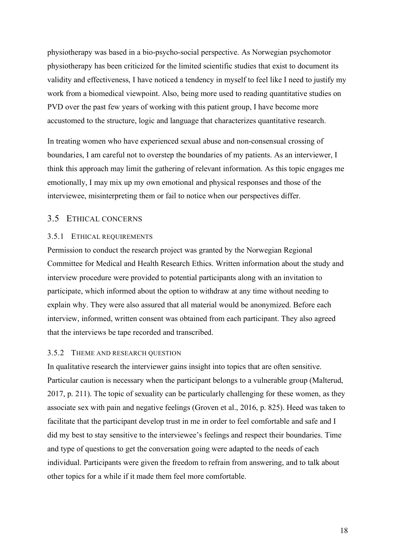physiotherapy was based in a bio-psycho-social perspective. As Norwegian psychomotor physiotherapy has been criticized for the limited scientific studies that exist to document its validity and effectiveness, I have noticed a tendency in myself to feel like I need to justify my work from a biomedical viewpoint. Also, being more used to reading quantitative studies on PVD over the past few years of working with this patient group, I have become more accustomed to the structure, logic and language that characterizes quantitative research.

In treating women who have experienced sexual abuse and non-consensual crossing of boundaries, I am careful not to overstep the boundaries of my patients. As an interviewer, I think this approach may limit the gathering of relevant information. As this topic engages me emotionally, I may mix up my own emotional and physical responses and those of the interviewee, misinterpreting them or fail to notice when our perspectives differ.

## 3.5 ETHICAL CONCERNS

#### 3.5.1 ETHICAL REQUIREMENTS

Permission to conduct the research project was granted by the Norwegian Regional Committee for Medical and Health Research Ethics. Written information about the study and interview procedure were provided to potential participants along with an invitation to participate, which informed about the option to withdraw at any time without needing to explain why. They were also assured that all material would be anonymized. Before each interview, informed, written consent was obtained from each participant. They also agreed that the interviews be tape recorded and transcribed.

#### 3.5.2 THEME AND RESEARCH QUESTION

In qualitative research the interviewer gains insight into topics that are often sensitive. Particular caution is necessary when the participant belongs to a vulnerable group (Malterud, 2017, p. 211). The topic of sexuality can be particularly challenging for these women, as they associate sex with pain and negative feelings (Groven et al., 2016, p. 825). Heed was taken to facilitate that the participant develop trust in me in order to feel comfortable and safe and I did my best to stay sensitive to the interviewee's feelings and respect their boundaries. Time and type of questions to get the conversation going were adapted to the needs of each individual. Participants were given the freedom to refrain from answering, and to talk about other topics for a while if it made them feel more comfortable.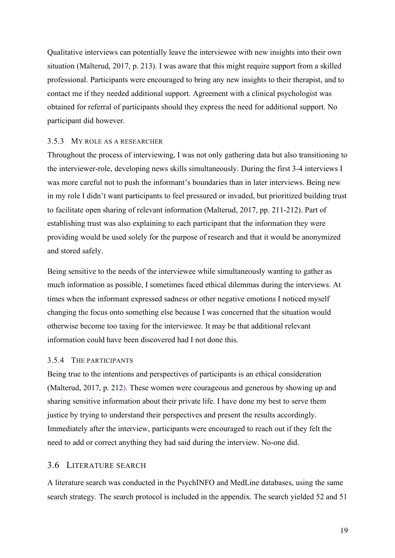Qualitative interviews can potentially leave the interviewee with new insights into their own situation (Malterud, 2017, p. 213). I was aware that this might require support from a skilled professional. Participants were encouraged to bring any new insights to their therapist, and to contact me if they needed additional support. Agreement with a clinical psychologist was obtained for referral of participants should they express the need for additional support. No participant did however.

#### 3.5.3 MY ROLE AS A RESEARCHER

Throughout the process of interviewing, I was not only gathering data but also transitioning to the interviewer-role, developing news skills simultaneously. During the first 3-4 interviews I was more careful not to push the informant's boundaries than in later interviews. Being new in my role I didn't want participants to feel pressured or invaded, but prioritized building trust to facilitate open sharing of relevant information (Malterud, 2017, pp. 211-212). Part of establishing trust was also explaining to each participant that the information they were providing would be used solely for the purpose of research and that it would be anonymized and stored safely.

Being sensitive to the needs of the interviewee while simultaneously wanting to gather as much information as possible, I sometimes faced ethical dilemmas during the interviews. At times when the informant expressed sadness or other negative emotions I noticed myself changing the focus onto something else because I was concerned that the situation would otherwise become too taxing for the interviewee. It may be that additional relevant information could have been discovered had I not done this.

#### 3.5.4 THE PARTICIPANTS

Being true to the intentions and perspectives of participants is an ethical consideration (Malterud, 2017, p. 212). These women were courageous and generous by showing up and sharing sensitive information about their private life. I have done my best to serve them justice by trying to understand their perspectives and present the results accordingly. Immediately after the interview, participants were encouraged to reach out if they felt the need to add or correct anything they had said during the interview. No-one did.

#### 3.6 LITERATURE SEARCH

A literature search was conducted in the PsychINFO and MedLine databases, using the same search strategy. The search protocol is included in the appendix. The search yielded 52 and 51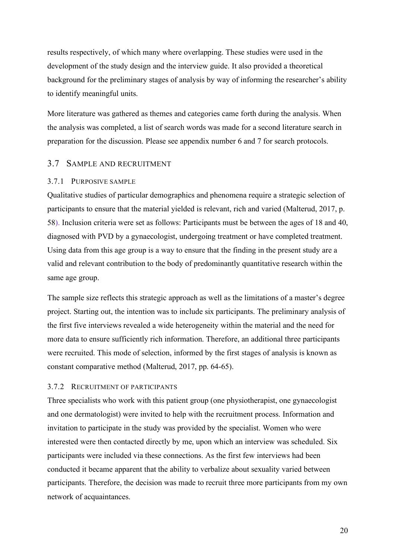results respectively, of which many where overlapping. These studies were used in the development of the study design and the interview guide. It also provided a theoretical background for the preliminary stages of analysis by way of informing the researcher's ability to identify meaningful units.

More literature was gathered as themes and categories came forth during the analysis. When the analysis was completed, a list of search words was made for a second literature search in preparation for the discussion. Please see appendix number 6 and 7 for search protocols.

#### 3.7 SAMPLE AND RECRUITMENT

#### 3.7.1 PURPOSIVE SAMPLE

Qualitative studies of particular demographics and phenomena require a strategic selection of participants to ensure that the material yielded is relevant, rich and varied (Malterud, 2017, p. 58). Inclusion criteria were set as follows: Participants must be between the ages of 18 and 40, diagnosed with PVD by a gynaecologist, undergoing treatment or have completed treatment. Using data from this age group is a way to ensure that the finding in the present study are a valid and relevant contribution to the body of predominantly quantitative research within the same age group.

The sample size reflects this strategic approach as well as the limitations of a master's degree project. Starting out, the intention was to include six participants. The preliminary analysis of the first five interviews revealed a wide heterogeneity within the material and the need for more data to ensure sufficiently rich information. Therefore, an additional three participants were recruited. This mode of selection, informed by the first stages of analysis is known as constant comparative method (Malterud, 2017, pp. 64-65).

#### 3.7.2 RECRUITMENT OF PARTICIPANTS

Three specialists who work with this patient group (one physiotherapist, one gynaecologist and one dermatologist) were invited to help with the recruitment process. Information and invitation to participate in the study was provided by the specialist. Women who were interested were then contacted directly by me, upon which an interview was scheduled. Six participants were included via these connections. As the first few interviews had been conducted it became apparent that the ability to verbalize about sexuality varied between participants. Therefore, the decision was made to recruit three more participants from my own network of acquaintances.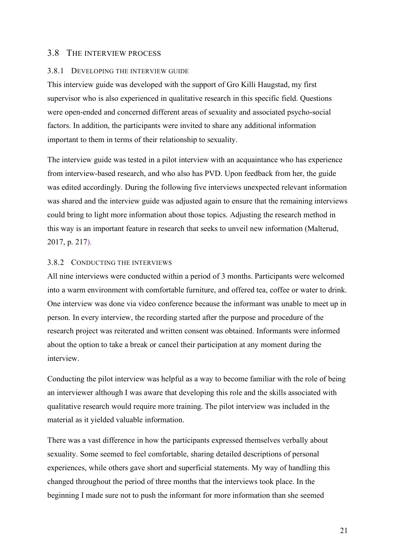#### 3.8 THE INTERVIEW PROCESS

#### 3.8.1 DEVELOPING THE INTERVIEW GUIDE

This interview guide was developed with the support of Gro Killi Haugstad, my first supervisor who is also experienced in qualitative research in this specific field. Questions were open-ended and concerned different areas of sexuality and associated psycho-social factors. In addition, the participants were invited to share any additional information important to them in terms of their relationship to sexuality.

The interview guide was tested in a pilot interview with an acquaintance who has experience from interview-based research, and who also has PVD. Upon feedback from her, the guide was edited accordingly. During the following five interviews unexpected relevant information was shared and the interview guide was adjusted again to ensure that the remaining interviews could bring to light more information about those topics. Adjusting the research method in this way is an important feature in research that seeks to unveil new information (Malterud, 2017, p. 217).

#### 3.8.2 CONDUCTING THE INTERVIEWS

All nine interviews were conducted within a period of 3 months. Participants were welcomed into a warm environment with comfortable furniture, and offered tea, coffee or water to drink. One interview was done via video conference because the informant was unable to meet up in person. In every interview, the recording started after the purpose and procedure of the research project was reiterated and written consent was obtained. Informants were informed about the option to take a break or cancel their participation at any moment during the interview.

Conducting the pilot interview was helpful as a way to become familiar with the role of being an interviewer although I was aware that developing this role and the skills associated with qualitative research would require more training. The pilot interview was included in the material as it yielded valuable information.

There was a vast difference in how the participants expressed themselves verbally about sexuality. Some seemed to feel comfortable, sharing detailed descriptions of personal experiences, while others gave short and superficial statements. My way of handling this changed throughout the period of three months that the interviews took place. In the beginning I made sure not to push the informant for more information than she seemed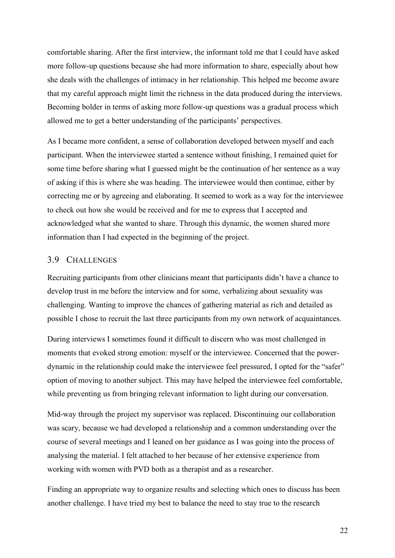comfortable sharing. After the first interview, the informant told me that I could have asked more follow-up questions because she had more information to share, especially about how she deals with the challenges of intimacy in her relationship. This helped me become aware that my careful approach might limit the richness in the data produced during the interviews. Becoming bolder in terms of asking more follow-up questions was a gradual process which allowed me to get a better understanding of the participants' perspectives.

As I became more confident, a sense of collaboration developed between myself and each participant. When the interviewee started a sentence without finishing, I remained quiet for some time before sharing what I guessed might be the continuation of her sentence as a way of asking if this is where she was heading. The interviewee would then continue, either by correcting me or by agreeing and elaborating. It seemed to work as a way for the interviewee to check out how she would be received and for me to express that I accepted and acknowledged what she wanted to share. Through this dynamic, the women shared more information than I had expected in the beginning of the project.

## 3.9 CHALLENGES

Recruiting participants from other clinicians meant that participants didn't have a chance to develop trust in me before the interview and for some, verbalizing about sexuality was challenging. Wanting to improve the chances of gathering material as rich and detailed as possible I chose to recruit the last three participants from my own network of acquaintances.

During interviews I sometimes found it difficult to discern who was most challenged in moments that evoked strong emotion: myself or the interviewee. Concerned that the powerdynamic in the relationship could make the interviewee feel pressured, I opted for the "safer" option of moving to another subject. This may have helped the interviewee feel comfortable, while preventing us from bringing relevant information to light during our conversation.

Mid-way through the project my supervisor was replaced. Discontinuing our collaboration was scary, because we had developed a relationship and a common understanding over the course of several meetings and I leaned on her guidance as I was going into the process of analysing the material. I felt attached to her because of her extensive experience from working with women with PVD both as a therapist and as a researcher.

Finding an appropriate way to organize results and selecting which ones to discuss has been another challenge. I have tried my best to balance the need to stay true to the research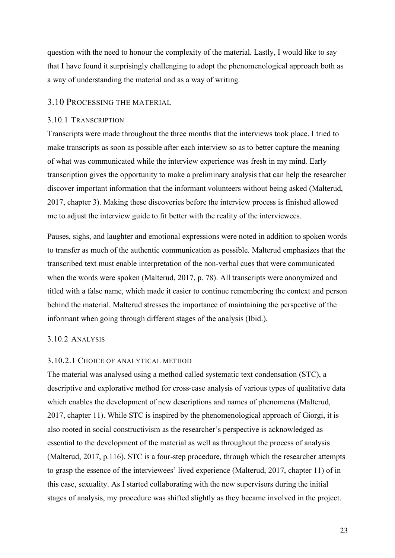question with the need to honour the complexity of the material. Lastly, I would like to say that I have found it surprisingly challenging to adopt the phenomenological approach both as a way of understanding the material and as a way of writing.

#### 3.10 PROCESSING THE MATERIAL

#### 3.10.1 TRANSCRIPTION

Transcripts were made throughout the three months that the interviews took place. I tried to make transcripts as soon as possible after each interview so as to better capture the meaning of what was communicated while the interview experience was fresh in my mind. Early transcription gives the opportunity to make a preliminary analysis that can help the researcher discover important information that the informant volunteers without being asked (Malterud, 2017, chapter 3). Making these discoveries before the interview process is finished allowed me to adjust the interview guide to fit better with the reality of the interviewees.

Pauses, sighs, and laughter and emotional expressions were noted in addition to spoken words to transfer as much of the authentic communication as possible. Malterud emphasizes that the transcribed text must enable interpretation of the non-verbal cues that were communicated when the words were spoken (Malterud, 2017, p. 78). All transcripts were anonymized and titled with a false name, which made it easier to continue remembering the context and person behind the material. Malterud stresses the importance of maintaining the perspective of the informant when going through different stages of the analysis (Ibid.).

#### 3.10.2 ANALYSIS

#### 3.10.2.1 CHOICE OF ANALYTICAL METHOD

The material was analysed using a method called systematic text condensation (STC), a descriptive and explorative method for cross-case analysis of various types of qualitative data which enables the development of new descriptions and names of phenomena (Malterud, 2017, chapter 11). While STC is inspired by the phenomenological approach of Giorgi, it is also rooted in social constructivism as the researcher's perspective is acknowledged as essential to the development of the material as well as throughout the process of analysis (Malterud, 2017, p.116). STC is a four-step procedure, through which the researcher attempts to grasp the essence of the interviewees' lived experience (Malterud, 2017, chapter 11) of in this case, sexuality. As I started collaborating with the new supervisors during the initial stages of analysis, my procedure was shifted slightly as they became involved in the project.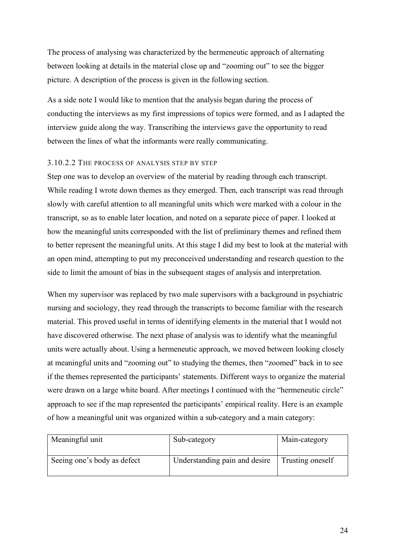The process of analysing was characterized by the hermeneutic approach of alternating between looking at details in the material close up and "zooming out" to see the bigger picture. A description of the process is given in the following section.

As a side note I would like to mention that the analysis began during the process of conducting the interviews as my first impressions of topics were formed, and as I adapted the interview guide along the way. Transcribing the interviews gave the opportunity to read between the lines of what the informants were really communicating.

#### 3.10.2.2 THE PROCESS OF ANALYSIS STEP BY STEP

Step one was to develop an overview of the material by reading through each transcript. While reading I wrote down themes as they emerged. Then, each transcript was read through slowly with careful attention to all meaningful units which were marked with a colour in the transcript, so as to enable later location, and noted on a separate piece of paper. I looked at how the meaningful units corresponded with the list of preliminary themes and refined them to better represent the meaningful units. At this stage I did my best to look at the material with an open mind, attempting to put my preconceived understanding and research question to the side to limit the amount of bias in the subsequent stages of analysis and interpretation.

When my supervisor was replaced by two male supervisors with a background in psychiatric nursing and sociology, they read through the transcripts to become familiar with the research material. This proved useful in terms of identifying elements in the material that I would not have discovered otherwise. The next phase of analysis was to identify what the meaningful units were actually about. Using a hermeneutic approach, we moved between looking closely at meaningful units and "zooming out" to studying the themes, then "zoomed" back in to see if the themes represented the participants' statements. Different ways to organize the material were drawn on a large white board. After meetings I continued with the "hermeneutic circle" approach to see if the map represented the participants' empirical reality. Here is an example of how a meaningful unit was organized within a sub-category and a main category:

| Meaningful unit             | Sub-category                  | Main-category    |
|-----------------------------|-------------------------------|------------------|
| Seeing one's body as defect | Understanding pain and desire | Trusting oneself |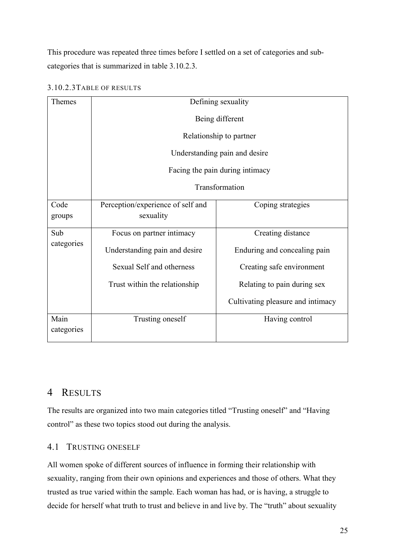This procedure was repeated three times before I settled on a set of categories and subcategories that is summarized in table 3.10.2.3.

| Themes             | Defining sexuality                                               |                                   |  |  |  |
|--------------------|------------------------------------------------------------------|-----------------------------------|--|--|--|
|                    | Being different                                                  |                                   |  |  |  |
|                    | Relationship to partner                                          |                                   |  |  |  |
|                    | Understanding pain and desire<br>Facing the pain during intimacy |                                   |  |  |  |
|                    |                                                                  |                                   |  |  |  |
|                    | Transformation                                                   |                                   |  |  |  |
| Code<br>groups     | Perception/experience of self and<br>sexuality                   | Coping strategies                 |  |  |  |
| Sub                | Focus on partner intimacy                                        | Creating distance                 |  |  |  |
| categories         | Understanding pain and desire                                    | Enduring and concealing pain      |  |  |  |
|                    | Sexual Self and otherness                                        | Creating safe environment         |  |  |  |
|                    | Trust within the relationship                                    | Relating to pain during sex       |  |  |  |
|                    |                                                                  | Cultivating pleasure and intimacy |  |  |  |
| Main<br>categories | Trusting oneself                                                 | Having control                    |  |  |  |

## 3.10.2.3TABLE OF RESULTS

## 4 RESULTS

The results are organized into two main categories titled "Trusting oneself" and "Having control" as these two topics stood out during the analysis.

## 4.1 TRUSTING ONESELF

All women spoke of different sources of influence in forming their relationship with sexuality, ranging from their own opinions and experiences and those of others. What they trusted as true varied within the sample. Each woman has had, or is having, a struggle to decide for herself what truth to trust and believe in and live by. The "truth" about sexuality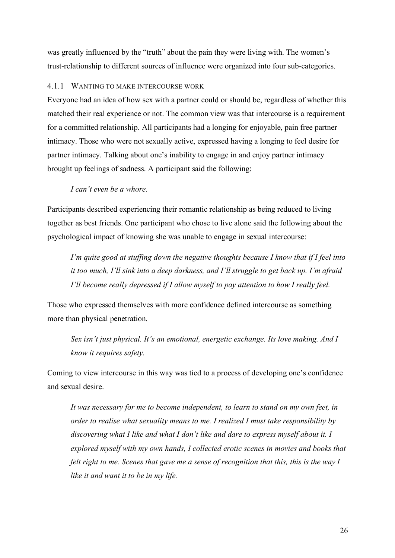was greatly influenced by the "truth" about the pain they were living with. The women's trust-relationship to different sources of influence were organized into four sub-categories.

#### 4.1.1 WANTING TO MAKE INTERCOURSE WORK

Everyone had an idea of how sex with a partner could or should be, regardless of whether this matched their real experience or not. The common view was that intercourse is a requirement for a committed relationship. All participants had a longing for enjoyable, pain free partner intimacy. Those who were not sexually active, expressed having a longing to feel desire for partner intimacy. Talking about one's inability to engage in and enjoy partner intimacy brought up feelings of sadness. A participant said the following:

#### *I can't even be a whore.*

Participants described experiencing their romantic relationship as being reduced to living together as best friends. One participant who chose to live alone said the following about the psychological impact of knowing she was unable to engage in sexual intercourse:

*I'm quite good at stuffing down the negative thoughts because I know that if I feel into it too much, I'll sink into a deep darkness, and I'll struggle to get back up. I'm afraid I'll become really depressed if I allow myself to pay attention to how I really feel.* 

Those who expressed themselves with more confidence defined intercourse as something more than physical penetration.

*Sex isn't just physical. It's an emotional, energetic exchange. Its love making. And I know it requires safety.* 

Coming to view intercourse in this way was tied to a process of developing one's confidence and sexual desire.

*It was necessary for me to become independent, to learn to stand on my own feet, in order to realise what sexuality means to me. I realized I must take responsibility by discovering what I like and what I don't like and dare to express myself about it. I explored myself with my own hands, I collected erotic scenes in movies and books that felt right to me. Scenes that gave me a sense of recognition that this, this is the way I like it and want it to be in my life.*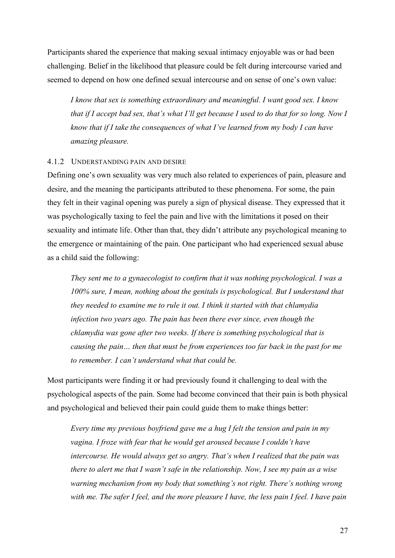Participants shared the experience that making sexual intimacy enjoyable was or had been challenging. Belief in the likelihood that pleasure could be felt during intercourse varied and seemed to depend on how one defined sexual intercourse and on sense of one's own value:

*I know that sex is something extraordinary and meaningful. I want good sex. I know that if I accept bad sex, that's what I'll get because I used to do that for so long. Now I know that if I take the consequences of what I've learned from my body I can have amazing pleasure.* 

#### 4.1.2 UNDERSTANDING PAIN AND DESIRE

Defining one's own sexuality was very much also related to experiences of pain, pleasure and desire, and the meaning the participants attributed to these phenomena. For some, the pain they felt in their vaginal opening was purely a sign of physical disease. They expressed that it was psychologically taxing to feel the pain and live with the limitations it posed on their sexuality and intimate life. Other than that, they didn't attribute any psychological meaning to the emergence or maintaining of the pain. One participant who had experienced sexual abuse as a child said the following:

*They sent me to a gynaecologist to confirm that it was nothing psychological. I was a 100% sure, I mean, nothing about the genitals is psychological. But I understand that they needed to examine me to rule it out. I think it started with that chlamydia infection two years ago. The pain has been there ever since, even though the chlamydia was gone after two weeks. If there is something psychological that is causing the pain… then that must be from experiences too far back in the past for me to remember. I can't understand what that could be.* 

Most participants were finding it or had previously found it challenging to deal with the psychological aspects of the pain. Some had become convinced that their pain is both physical and psychological and believed their pain could guide them to make things better:

*Every time my previous boyfriend gave me a hug I felt the tension and pain in my vagina. I froze with fear that he would get aroused because I couldn't have intercourse. He would always get so angry. That's when I realized that the pain was there to alert me that I wasn't safe in the relationship. Now, I see my pain as a wise warning mechanism from my body that something's not right. There's nothing wrong with me. The safer I feel, and the more pleasure I have, the less pain I feel. I have pain*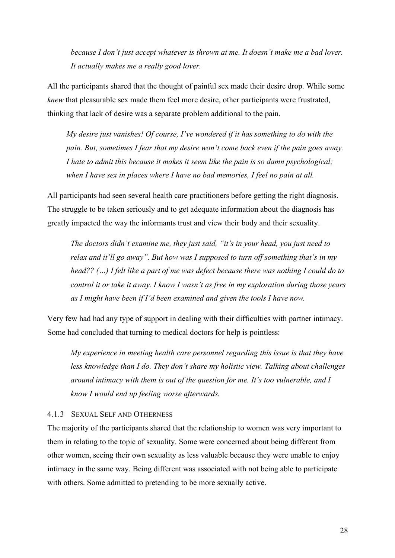*because I don't just accept whatever is thrown at me. It doesn't make me a bad lover. It actually makes me a really good lover.* 

All the participants shared that the thought of painful sex made their desire drop. While some *knew* that pleasurable sex made them feel more desire, other participants were frustrated, thinking that lack of desire was a separate problem additional to the pain.

*My desire just vanishes! Of course, I've wondered if it has something to do with the pain. But, sometimes I fear that my desire won't come back even if the pain goes away. I hate to admit this because it makes it seem like the pain is so damn psychological; when I have sex in places where I have no bad memories, I feel no pain at all.* 

All participants had seen several health care practitioners before getting the right diagnosis. The struggle to be taken seriously and to get adequate information about the diagnosis has greatly impacted the way the informants trust and view their body and their sexuality.

*The doctors didn't examine me, they just said, "it's in your head, you just need to relax and it'll go away". But how was I supposed to turn off something that's in my head?? (…) I felt like a part of me was defect because there was nothing I could do to control it or take it away. I know I wasn't as free in my exploration during those years as I might have been if I'd been examined and given the tools I have now.* 

Very few had had any type of support in dealing with their difficulties with partner intimacy. Some had concluded that turning to medical doctors for help is pointless:

*My experience in meeting health care personnel regarding this issue is that they have less knowledge than I do. They don't share my holistic view. Talking about challenges around intimacy with them is out of the question for me. It's too vulnerable, and I know I would end up feeling worse afterwards.* 

## 4.1.3 SEXUAL SELF AND OTHERNESS

The majority of the participants shared that the relationship to women was very important to them in relating to the topic of sexuality. Some were concerned about being different from other women, seeing their own sexuality as less valuable because they were unable to enjoy intimacy in the same way. Being different was associated with not being able to participate with others. Some admitted to pretending to be more sexually active.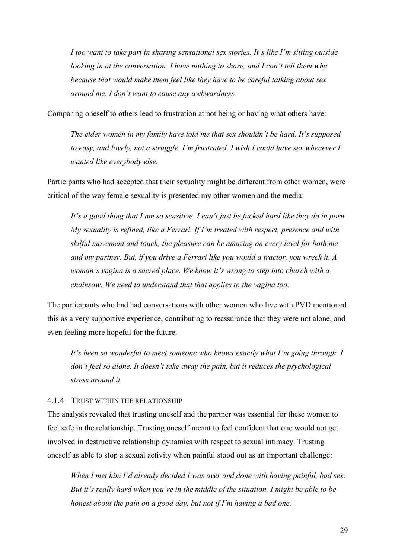*I too want to take part in sharing sensational sex stories. It's like I'm sitting outside looking in at the conversation. I have nothing to share, and I can't tell them why because that would make them feel like they have to be careful talking about sex around me. I don't want to cause any awkwardness.* 

Comparing oneself to others lead to frustration at not being or having what others have:

*The elder women in my family have told me that sex shouldn't be hard. It's supposed to easy, and lovely, not a struggle. I'm frustrated. I wish I could have sex whenever I wanted like everybody else.* 

Participants who had accepted that their sexuality might be different from other women, were critical of the way female sexuality is presented my other women and the media:

*It's a good thing that I am so sensitive. I can't just be fucked hard like they do in porn. My sexuality is refined, like a Ferrari. If I'm treated with respect, presence and with skilful movement and touch, the pleasure can be amazing on every level for both me and my partner. But, if you drive a Ferrari like you would a tractor, you wreck it. A woman's vagina is a sacred place. We know it's wrong to step into church with a chainsaw. We need to understand that that applies to the vagina too.* 

The participants who had had conversations with other women who live with PVD mentioned this as a very supportive experience, contributing to reassurance that they were not alone, and even feeling more hopeful for the future.

It's been so wonderful to meet someone who knows exactly what I'm going through. I *don't feel so alone. It doesn't take away the pain, but it reduces the psychological stress around it.* 

#### 4.1.4 TRUST WITHIN THE RELATIONSHIP

The analysis revealed that trusting oneself and the partner was essential for these women to feel safe in the relationship. Trusting oneself meant to feel confident that one would not get involved in destructive relationship dynamics with respect to sexual intimacy. Trusting oneself as able to stop a sexual activity when painful stood out as an important challenge:

*When I met him I'd already decided I was over and done with having painful, bad sex. But it's really hard when you're in the middle of the situation. I might be able to be honest about the pain on a good day, but not if I'm having a bad one.*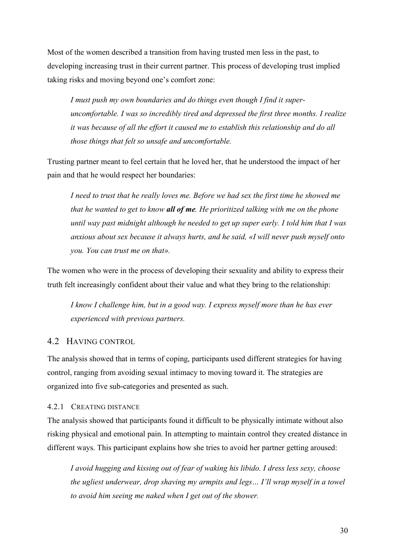Most of the women described a transition from having trusted men less in the past, to developing increasing trust in their current partner. This process of developing trust implied taking risks and moving beyond one's comfort zone:

*I must push my own boundaries and do things even though I find it superuncomfortable. I was so incredibly tired and depressed the first three months. I realize it was because of all the effort it caused me to establish this relationship and do all those things that felt so unsafe and uncomfortable.* 

Trusting partner meant to feel certain that he loved her, that he understood the impact of her pain and that he would respect her boundaries:

*I* need to trust that he really loves me. Before we had sex the first time he showed me *that he wanted to get to know all of me. He prioritized talking with me on the phone until way past midnight although he needed to get up super early. I told him that I was anxious about sex because it always hurts, and he said, «I will never push myself onto you. You can trust me on that».* 

The women who were in the process of developing their sexuality and ability to express their truth felt increasingly confident about their value and what they bring to the relationship:

*I know I challenge him, but in a good way. I express myself more than he has ever experienced with previous partners.* 

## 4.2 HAVING CONTROL

The analysis showed that in terms of coping, participants used different strategies for having control, ranging from avoiding sexual intimacy to moving toward it. The strategies are organized into five sub-categories and presented as such.

#### 4.2.1 CREATING DISTANCE

The analysis showed that participants found it difficult to be physically intimate without also risking physical and emotional pain. In attempting to maintain control they created distance in different ways. This participant explains how she tries to avoid her partner getting aroused:

*I avoid hugging and kissing out of fear of waking his libido. I dress less sexy, choose the ugliest underwear, drop shaving my armpits and legs… I'll wrap myself in a towel to avoid him seeing me naked when I get out of the shower.*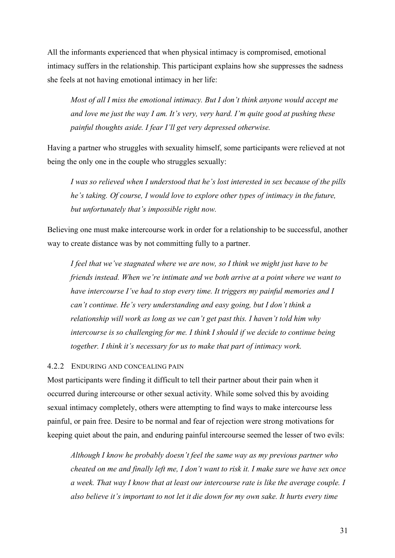All the informants experienced that when physical intimacy is compromised, emotional intimacy suffers in the relationship. This participant explains how she suppresses the sadness she feels at not having emotional intimacy in her life:

*Most of all I miss the emotional intimacy. But I don't think anyone would accept me and love me just the way I am. It's very, very hard. I'm quite good at pushing these painful thoughts aside. I fear I'll get very depressed otherwise.* 

Having a partner who struggles with sexuality himself, some participants were relieved at not being the only one in the couple who struggles sexually:

*I was so relieved when I understood that he's lost interested in sex because of the pills he's taking. Of course, I would love to explore other types of intimacy in the future, but unfortunately that's impossible right now.* 

Believing one must make intercourse work in order for a relationship to be successful, another way to create distance was by not committing fully to a partner.

*I feel that we've stagnated where we are now, so I think we might just have to be friends instead. When we're intimate and we both arrive at a point where we want to have intercourse I've had to stop every time. It triggers my painful memories and I can't continue. He's very understanding and easy going, but I don't think a relationship will work as long as we can't get past this. I haven't told him why intercourse is so challenging for me. I think I should if we decide to continue being together. I think it's necessary for us to make that part of intimacy work.* 

#### 4.2.2 ENDURING AND CONCEALING PAIN

Most participants were finding it difficult to tell their partner about their pain when it occurred during intercourse or other sexual activity. While some solved this by avoiding sexual intimacy completely, others were attempting to find ways to make intercourse less painful, or pain free. Desire to be normal and fear of rejection were strong motivations for keeping quiet about the pain, and enduring painful intercourse seemed the lesser of two evils:

*Although I know he probably doesn't feel the same way as my previous partner who cheated on me and finally left me, I don't want to risk it. I make sure we have sex once a week. That way I know that at least our intercourse rate is like the average couple. I also believe it's important to not let it die down for my own sake. It hurts every time*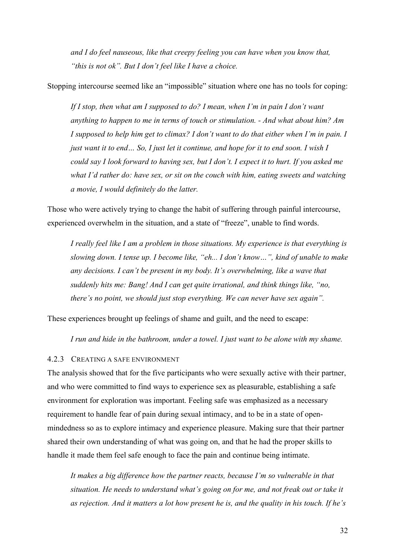*and I do feel nauseous, like that creepy feeling you can have when you know that, "this is not ok". But I don't feel like I have a choice.* 

Stopping intercourse seemed like an "impossible" situation where one has no tools for coping:

*If I stop, then what am I supposed to do? I mean, when I'm in pain I don't want anything to happen to me in terms of touch or stimulation. - And what about him? Am I supposed to help him get to climax? I don't want to do that either when I'm in pain. I just want it to end… So, I just let it continue, and hope for it to end soon. I wish I could say I look forward to having sex, but I don't. I expect it to hurt. If you asked me what I'd rather do: have sex, or sit on the couch with him, eating sweets and watching a movie, I would definitely do the latter.* 

Those who were actively trying to change the habit of suffering through painful intercourse, experienced overwhelm in the situation, and a state of "freeze", unable to find words.

*I really feel like I am a problem in those situations. My experience is that everything is slowing down. I tense up. I become like, "eh... I don't know…", kind of unable to make any decisions. I can't be present in my body. It's overwhelming, like a wave that suddenly hits me: Bang! And I can get quite irrational, and think things like, "no, there's no point, we should just stop everything. We can never have sex again".* 

These experiences brought up feelings of shame and guilt, and the need to escape:

*I run and hide in the bathroom, under a towel. I just want to be alone with my shame.*

#### 4.2.3 CREATING A SAFE ENVIRONMENT

The analysis showed that for the five participants who were sexually active with their partner, and who were committed to find ways to experience sex as pleasurable, establishing a safe environment for exploration was important. Feeling safe was emphasized as a necessary requirement to handle fear of pain during sexual intimacy, and to be in a state of openmindedness so as to explore intimacy and experience pleasure. Making sure that their partner shared their own understanding of what was going on, and that he had the proper skills to handle it made them feel safe enough to face the pain and continue being intimate.

*It makes a big difference how the partner reacts, because I'm so vulnerable in that situation. He needs to understand what's going on for me, and not freak out or take it as rejection. And it matters a lot how present he is, and the quality in his touch. If he's*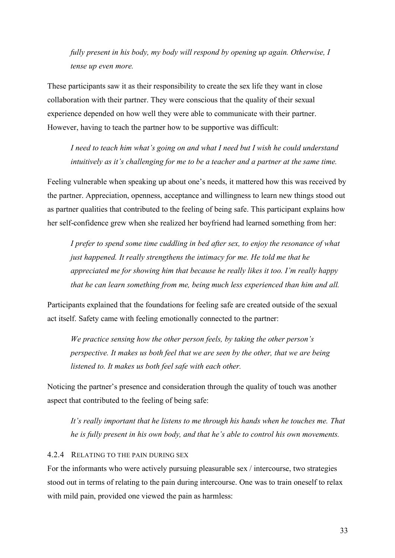*fully present in his body, my body will respond by opening up again. Otherwise, I tense up even more.* 

These participants saw it as their responsibility to create the sex life they want in close collaboration with their partner. They were conscious that the quality of their sexual experience depended on how well they were able to communicate with their partner. However, having to teach the partner how to be supportive was difficult:

*I need to teach him what's going on and what I need but I wish he could understand intuitively as it's challenging for me to be a teacher and a partner at the same time.* 

Feeling vulnerable when speaking up about one's needs, it mattered how this was received by the partner. Appreciation, openness, acceptance and willingness to learn new things stood out as partner qualities that contributed to the feeling of being safe. This participant explains how her self-confidence grew when she realized her boyfriend had learned something from her:

*I prefer to spend some time cuddling in bed after sex, to enjoy the resonance of what just happened. It really strengthens the intimacy for me. He told me that he appreciated me for showing him that because he really likes it too. I'm really happy that he can learn something from me, being much less experienced than him and all.* 

Participants explained that the foundations for feeling safe are created outside of the sexual act itself. Safety came with feeling emotionally connected to the partner:

*We practice sensing how the other person feels, by taking the other person's perspective. It makes us both feel that we are seen by the other, that we are being listened to. It makes us both feel safe with each other.* 

Noticing the partner's presence and consideration through the quality of touch was another aspect that contributed to the feeling of being safe:

*It's really important that he listens to me through his hands when he touches me. That he is fully present in his own body, and that he's able to control his own movements.* 

## 4.2.4 RELATING TO THE PAIN DURING SEX

For the informants who were actively pursuing pleasurable sex / intercourse, two strategies stood out in terms of relating to the pain during intercourse. One was to train oneself to relax with mild pain, provided one viewed the pain as harmless: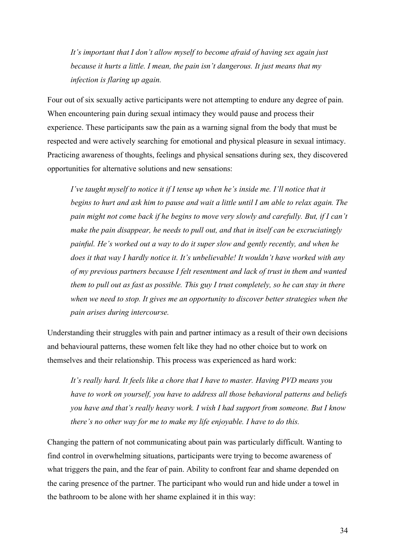*It's important that I don't allow myself to become afraid of having sex again just because it hurts a little. I mean, the pain isn't dangerous. It just means that my infection is flaring up again.* 

Four out of six sexually active participants were not attempting to endure any degree of pain. When encountering pain during sexual intimacy they would pause and process their experience. These participants saw the pain as a warning signal from the body that must be respected and were actively searching for emotional and physical pleasure in sexual intimacy. Practicing awareness of thoughts, feelings and physical sensations during sex, they discovered opportunities for alternative solutions and new sensations:

*I've taught myself to notice it if I tense up when he's inside me. I'll notice that it begins to hurt and ask him to pause and wait a little until I am able to relax again. The pain might not come back if he begins to move very slowly and carefully. But, if I can't make the pain disappear, he needs to pull out, and that in itself can be excruciatingly painful. He's worked out a way to do it super slow and gently recently, and when he does it that way I hardly notice it. It's unbelievable! It wouldn't have worked with any of my previous partners because I felt resentment and lack of trust in them and wanted them to pull out as fast as possible. This guy I trust completely, so he can stay in there when we need to stop. It gives me an opportunity to discover better strategies when the pain arises during intercourse.* 

Understanding their struggles with pain and partner intimacy as a result of their own decisions and behavioural patterns, these women felt like they had no other choice but to work on themselves and their relationship. This process was experienced as hard work:

*It's really hard. It feels like a chore that I have to master. Having PVD means you have to work on yourself, you have to address all those behavioral patterns and beliefs you have and that's really heavy work. I wish I had support from someone. But I know there's no other way for me to make my life enjoyable. I have to do this.* 

Changing the pattern of not communicating about pain was particularly difficult. Wanting to find control in overwhelming situations, participants were trying to become awareness of what triggers the pain, and the fear of pain. Ability to confront fear and shame depended on the caring presence of the partner. The participant who would run and hide under a towel in the bathroom to be alone with her shame explained it in this way: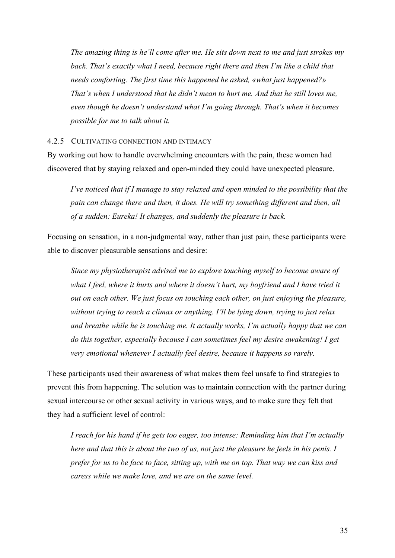*The amazing thing is he'll come after me. He sits down next to me and just strokes my back. That's exactly what I need, because right there and then I'm like a child that needs comforting. The first time this happened he asked, «what just happened?» That's when I understood that he didn't mean to hurt me. And that he still loves me, even though he doesn't understand what I'm going through. That's when it becomes possible for me to talk about it.* 

#### 4.2.5 CULTIVATING CONNECTION AND INTIMACY

By working out how to handle overwhelming encounters with the pain, these women had discovered that by staying relaxed and open-minded they could have unexpected pleasure.

*I've noticed that if I manage to stay relaxed and open minded to the possibility that the pain can change there and then, it does. He will try something different and then, all of a sudden: Eureka! It changes, and suddenly the pleasure is back.* 

Focusing on sensation, in a non-judgmental way, rather than just pain, these participants were able to discover pleasurable sensations and desire:

*Since my physiotherapist advised me to explore touching myself to become aware of what I feel, where it hurts and where it doesn't hurt, my boyfriend and I have tried it out on each other. We just focus on touching each other, on just enjoying the pleasure, without trying to reach a climax or anything. I'll be lying down, trying to just relax and breathe while he is touching me. It actually works, I'm actually happy that we can do this together, especially because I can sometimes feel my desire awakening! I get very emotional whenever I actually feel desire, because it happens so rarely.* 

These participants used their awareness of what makes them feel unsafe to find strategies to prevent this from happening. The solution was to maintain connection with the partner during sexual intercourse or other sexual activity in various ways, and to make sure they felt that they had a sufficient level of control:

*I reach for his hand if he gets too eager, too intense: Reminding him that I'm actually here and that this is about the two of us, not just the pleasure he feels in his penis. I prefer for us to be face to face, sitting up, with me on top. That way we can kiss and caress while we make love, and we are on the same level.*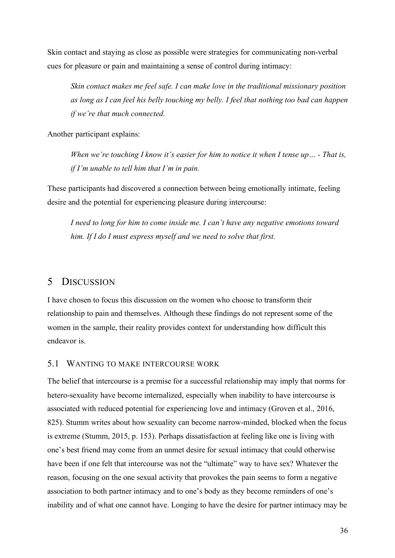Skin contact and staying as close as possible were strategies for communicating non-verbal cues for pleasure or pain and maintaining a sense of control during intimacy:

*Skin contact makes me feel safe. I can make love in the traditional missionary position as long as I can feel his belly touching my belly. I feel that nothing too bad can happen if we're that much connected.* 

Another participant explains:

*When we're touching I know it's easier for him to notice it when I tense up… - That is, if I'm unable to tell him that I'm in pain.* 

These participants had discovered a connection between being emotionally intimate, feeling desire and the potential for experiencing pleasure during intercourse:

*I need to long for him to come inside me. I can't have any negative emotions toward him. If I do I must express myself and we need to solve that first.* 

## 5 DISCUSSION

I have chosen to focus this discussion on the women who choose to transform their relationship to pain and themselves. Although these findings do not represent some of the women in the sample, their reality provides context for understanding how difficult this endeavor is.

### 5.1 WANTING TO MAKE INTERCOURSE WORK

The belief that intercourse is a premise for a successful relationship may imply that norms for hetero-sexuality have become internalized, especially when inability to have intercourse is associated with reduced potential for experiencing love and intimacy (Groven et al., 2016, 825). Stumm writes about how sexuality can become narrow-minded, blocked when the focus is extreme (Stumm, 2015, p. 153). Perhaps dissatisfaction at feeling like one is living with one's best friend may come from an unmet desire for sexual intimacy that could otherwise have been if one felt that intercourse was not the "ultimate" way to have sex? Whatever the reason, focusing on the one sexual activity that provokes the pain seems to form a negative association to both partner intimacy and to one's body as they become reminders of one's inability and of what one cannot have. Longing to have the desire for partner intimacy may be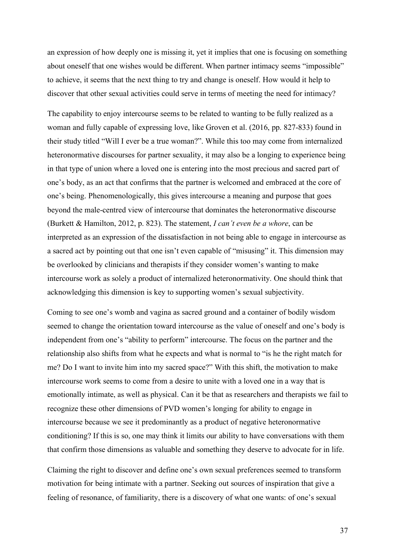an expression of how deeply one is missing it, yet it implies that one is focusing on something about oneself that one wishes would be different. When partner intimacy seems "impossible" to achieve, it seems that the next thing to try and change is oneself. How would it help to discover that other sexual activities could serve in terms of meeting the need for intimacy?

The capability to enjoy intercourse seems to be related to wanting to be fully realized as a woman and fully capable of expressing love, like Groven et al. (2016, pp. 827-833) found in their study titled "Will I ever be a true woman?". While this too may come from internalized heteronormative discourses for partner sexuality, it may also be a longing to experience being in that type of union where a loved one is entering into the most precious and sacred part of one's body, as an act that confirms that the partner is welcomed and embraced at the core of one's being. Phenomenologically, this gives intercourse a meaning and purpose that goes beyond the male-centred view of intercourse that dominates the heteronormative discourse (Burkett & Hamilton, 2012, p. 823). The statement, *I can't even be a whore*, can be interpreted as an expression of the dissatisfaction in not being able to engage in intercourse as a sacred act by pointing out that one isn't even capable of "misusing" it. This dimension may be overlooked by clinicians and therapists if they consider women's wanting to make intercourse work as solely a product of internalized heteronormativity. One should think that acknowledging this dimension is key to supporting women's sexual subjectivity.

Coming to see one's womb and vagina as sacred ground and a container of bodily wisdom seemed to change the orientation toward intercourse as the value of oneself and one's body is independent from one's "ability to perform" intercourse. The focus on the partner and the relationship also shifts from what he expects and what is normal to "is he the right match for me? Do I want to invite him into my sacred space?" With this shift, the motivation to make intercourse work seems to come from a desire to unite with a loved one in a way that is emotionally intimate, as well as physical. Can it be that as researchers and therapists we fail to recognize these other dimensions of PVD women's longing for ability to engage in intercourse because we see it predominantly as a product of negative heteronormative conditioning? If this is so, one may think it limits our ability to have conversations with them that confirm those dimensions as valuable and something they deserve to advocate for in life.

Claiming the right to discover and define one's own sexual preferences seemed to transform motivation for being intimate with a partner. Seeking out sources of inspiration that give a feeling of resonance, of familiarity, there is a discovery of what one wants: of one's sexual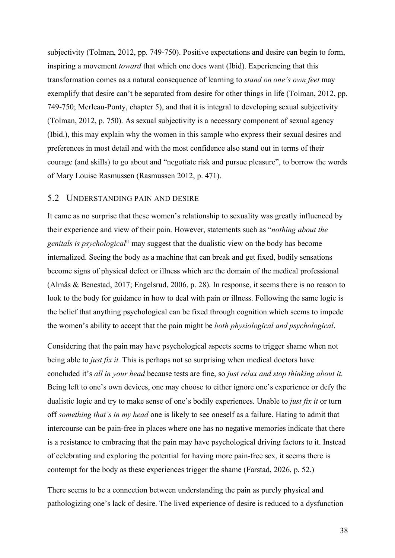subjectivity (Tolman, 2012, pp. 749-750). Positive expectations and desire can begin to form, inspiring a movement *toward* that which one does want (Ibid). Experiencing that this transformation comes as a natural consequence of learning to *stand on one's own feet* may exemplify that desire can't be separated from desire for other things in life (Tolman, 2012, pp. 749-750; Merleau-Ponty, chapter 5), and that it is integral to developing sexual subjectivity (Tolman, 2012, p. 750). As sexual subjectivity is a necessary component of sexual agency (Ibid.), this may explain why the women in this sample who express their sexual desires and preferences in most detail and with the most confidence also stand out in terms of their courage (and skills) to go about and "negotiate risk and pursue pleasure", to borrow the words of Mary Louise Rasmussen (Rasmussen 2012, p. 471).

### 5.2 UNDERSTANDING PAIN AND DESIRE

It came as no surprise that these women's relationship to sexuality was greatly influenced by their experience and view of their pain. However, statements such as "*nothing about the genitals is psychological*" may suggest that the dualistic view on the body has become internalized. Seeing the body as a machine that can break and get fixed, bodily sensations become signs of physical defect or illness which are the domain of the medical professional (Almås & Benestad, 2017; Engelsrud, 2006, p. 28). In response, it seems there is no reason to look to the body for guidance in how to deal with pain or illness. Following the same logic is the belief that anything psychological can be fixed through cognition which seems to impede the women's ability to accept that the pain might be *both physiological and psychological*.

Considering that the pain may have psychological aspects seems to trigger shame when not being able to *just fix it.* This is perhaps not so surprising when medical doctors have concluded it's *all in your head* because tests are fine, so *just relax and stop thinking about it*. Being left to one's own devices, one may choose to either ignore one's experience or defy the dualistic logic and try to make sense of one's bodily experiences. Unable to *just fix it* or turn off *something that's in my head* one is likely to see oneself as a failure. Hating to admit that intercourse can be pain-free in places where one has no negative memories indicate that there is a resistance to embracing that the pain may have psychological driving factors to it. Instead of celebrating and exploring the potential for having more pain-free sex, it seems there is contempt for the body as these experiences trigger the shame (Farstad, 2026, p. 52.)

There seems to be a connection between understanding the pain as purely physical and pathologizing one's lack of desire. The lived experience of desire is reduced to a dysfunction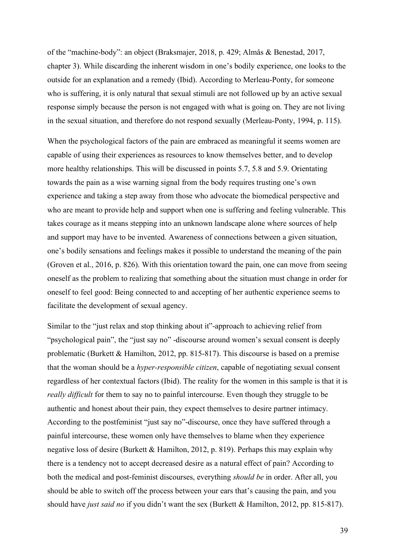of the "machine-body": an object (Braksmajer, 2018, p. 429; Almås & Benestad, 2017, chapter 3). While discarding the inherent wisdom in one's bodily experience, one looks to the outside for an explanation and a remedy (Ibid). According to Merleau-Ponty, for someone who is suffering, it is only natural that sexual stimuli are not followed up by an active sexual response simply because the person is not engaged with what is going on. They are not living in the sexual situation, and therefore do not respond sexually (Merleau-Ponty, 1994, p. 115).

When the psychological factors of the pain are embraced as meaningful it seems women are capable of using their experiences as resources to know themselves better, and to develop more healthy relationships. This will be discussed in points 5.7, 5.8 and 5.9. Orientating towards the pain as a wise warning signal from the body requires trusting one's own experience and taking a step away from those who advocate the biomedical perspective and who are meant to provide help and support when one is suffering and feeling vulnerable. This takes courage as it means stepping into an unknown landscape alone where sources of help and support may have to be invented. Awareness of connections between a given situation, one's bodily sensations and feelings makes it possible to understand the meaning of the pain (Groven et al., 2016, p. 826). With this orientation toward the pain, one can move from seeing oneself as the problem to realizing that something about the situation must change in order for oneself to feel good: Being connected to and accepting of her authentic experience seems to facilitate the development of sexual agency.

Similar to the "just relax and stop thinking about it"-approach to achieving relief from "psychological pain", the "just say no" -discourse around women's sexual consent is deeply problematic (Burkett & Hamilton, 2012, pp. 815-817). This discourse is based on a premise that the woman should be a *hyper-responsible citizen*, capable of negotiating sexual consent regardless of her contextual factors (Ibid). The reality for the women in this sample is that it is *really difficult* for them to say no to painful intercourse. Even though they struggle to be authentic and honest about their pain, they expect themselves to desire partner intimacy. According to the postfeminist "just say no"-discourse, once they have suffered through a painful intercourse, these women only have themselves to blame when they experience negative loss of desire (Burkett & Hamilton, 2012, p. 819). Perhaps this may explain why there is a tendency not to accept decreased desire as a natural effect of pain? According to both the medical and post-feminist discourses, everything *should be* in order. After all, you should be able to switch off the process between your ears that's causing the pain, and you should have *just said no* if you didn't want the sex (Burkett & Hamilton, 2012, pp. 815-817).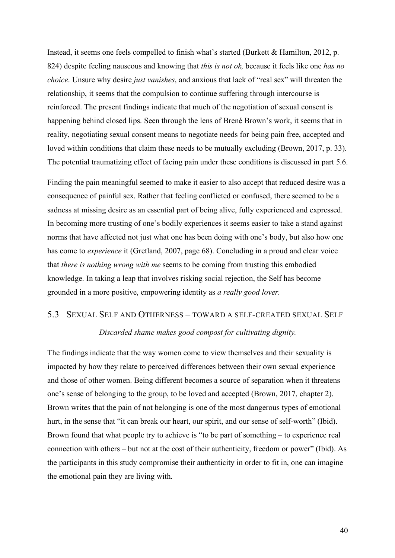Instead, it seems one feels compelled to finish what's started (Burkett & Hamilton, 2012, p. 824) despite feeling nauseous and knowing that *this is not ok,* because it feels like one *has no choice*. Unsure why desire *just vanishes*, and anxious that lack of "real sex" will threaten the relationship, it seems that the compulsion to continue suffering through intercourse is reinforced. The present findings indicate that much of the negotiation of sexual consent is happening behind closed lips. Seen through the lens of Brené Brown's work, it seems that in reality, negotiating sexual consent means to negotiate needs for being pain free, accepted and loved within conditions that claim these needs to be mutually excluding (Brown, 2017, p. 33). The potential traumatizing effect of facing pain under these conditions is discussed in part 5.6.

Finding the pain meaningful seemed to make it easier to also accept that reduced desire was a consequence of painful sex. Rather that feeling conflicted or confused, there seemed to be a sadness at missing desire as an essential part of being alive, fully experienced and expressed. In becoming more trusting of one's bodily experiences it seems easier to take a stand against norms that have affected not just what one has been doing with one's body, but also how one has come to *experience* it (Gretland, 2007, page 68). Concluding in a proud and clear voice that *there is nothing wrong with me* seems to be coming from trusting this embodied knowledge. In taking a leap that involves risking social rejection, the Self has become grounded in a more positive, empowering identity as *a really good lover.* 

### 5.3 SEXUAL SELF AND OTHERNESS – TOWARD A SELF-CREATED SEXUAL SELF

### *Discarded shame makes good compost for cultivating dignity.*

The findings indicate that the way women come to view themselves and their sexuality is impacted by how they relate to perceived differences between their own sexual experience and those of other women. Being different becomes a source of separation when it threatens one's sense of belonging to the group, to be loved and accepted (Brown, 2017, chapter 2). Brown writes that the pain of not belonging is one of the most dangerous types of emotional hurt, in the sense that "it can break our heart, our spirit, and our sense of self-worth" (Ibid). Brown found that what people try to achieve is "to be part of something – to experience real connection with others – but not at the cost of their authenticity, freedom or power" (Ibid). As the participants in this study compromise their authenticity in order to fit in, one can imagine the emotional pain they are living with.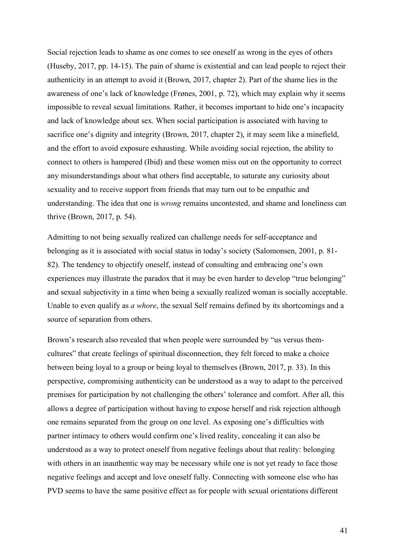Social rejection leads to shame as one comes to see oneself as wrong in the eyes of others (Huseby, 2017, pp. 14-15). The pain of shame is existential and can lead people to reject their authenticity in an attempt to avoid it (Brown, 2017, chapter 2). Part of the shame lies in the awareness of one's lack of knowledge (Frønes, 2001, p. 72), which may explain why it seems impossible to reveal sexual limitations. Rather, it becomes important to hide one's incapacity and lack of knowledge about sex. When social participation is associated with having to sacrifice one's dignity and integrity (Brown, 2017, chapter 2), it may seem like a minefield, and the effort to avoid exposure exhausting. While avoiding social rejection, the ability to connect to others is hampered (Ibid) and these women miss out on the opportunity to correct any misunderstandings about what others find acceptable, to saturate any curiosity about sexuality and to receive support from friends that may turn out to be empathic and understanding. The idea that one is *wrong* remains uncontested, and shame and loneliness can thrive (Brown, 2017, p. 54).

Admitting to not being sexually realized can challenge needs for self-acceptance and belonging as it is associated with social status in today's society (Salomonsen, 2001, p. 81- 82). The tendency to objectify oneself, instead of consulting and embracing one's own experiences may illustrate the paradox that it may be even harder to develop "true belonging" and sexual subjectivity in a time when being a sexually realized woman is socially acceptable. Unable to even qualify as *a whore*, the sexual Self remains defined by its shortcomings and a source of separation from others.

Brown's research also revealed that when people were surrounded by "us versus themcultures" that create feelings of spiritual disconnection, they felt forced to make a choice between being loyal to a group or being loyal to themselves (Brown, 2017, p. 33). In this perspective, compromising authenticity can be understood as a way to adapt to the perceived premises for participation by not challenging the others' tolerance and comfort. After all, this allows a degree of participation without having to expose herself and risk rejection although one remains separated from the group on one level. As exposing one's difficulties with partner intimacy to others would confirm one's lived reality, concealing it can also be understood as a way to protect oneself from negative feelings about that reality: belonging with others in an inauthentic way may be necessary while one is not yet ready to face those negative feelings and accept and love oneself fully. Connecting with someone else who has PVD seems to have the same positive effect as for people with sexual orientations different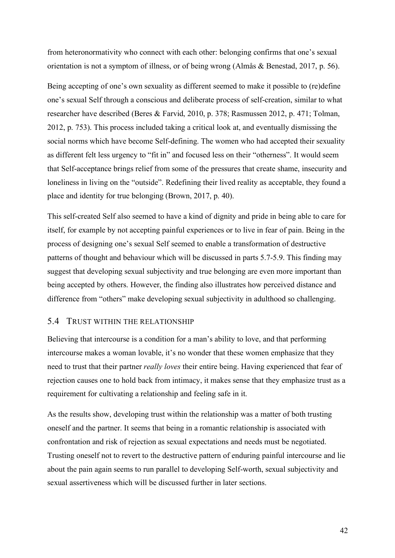from heteronormativity who connect with each other: belonging confirms that one's sexual orientation is not a symptom of illness, or of being wrong (Almås & Benestad, 2017, p. 56).

Being accepting of one's own sexuality as different seemed to make it possible to (re)define one's sexual Self through a conscious and deliberate process of self-creation, similar to what researcher have described (Beres & Farvid, 2010, p. 378; Rasmussen 2012, p. 471; Tolman, 2012, p. 753). This process included taking a critical look at, and eventually dismissing the social norms which have become Self-defining. The women who had accepted their sexuality as different felt less urgency to "fit in" and focused less on their "otherness". It would seem that Self-acceptance brings relief from some of the pressures that create shame, insecurity and loneliness in living on the "outside". Redefining their lived reality as acceptable, they found a place and identity for true belonging (Brown, 2017, p. 40).

This self-created Self also seemed to have a kind of dignity and pride in being able to care for itself, for example by not accepting painful experiences or to live in fear of pain. Being in the process of designing one's sexual Self seemed to enable a transformation of destructive patterns of thought and behaviour which will be discussed in parts 5.7-5.9. This finding may suggest that developing sexual subjectivity and true belonging are even more important than being accepted by others. However, the finding also illustrates how perceived distance and difference from "others" make developing sexual subjectivity in adulthood so challenging.

### 5.4 TRUST WITHIN THE RELATIONSHIP

Believing that intercourse is a condition for a man's ability to love, and that performing intercourse makes a woman lovable, it's no wonder that these women emphasize that they need to trust that their partner *really loves* their entire being. Having experienced that fear of rejection causes one to hold back from intimacy, it makes sense that they emphasize trust as a requirement for cultivating a relationship and feeling safe in it.

As the results show, developing trust within the relationship was a matter of both trusting oneself and the partner. It seems that being in a romantic relationship is associated with confrontation and risk of rejection as sexual expectations and needs must be negotiated. Trusting oneself not to revert to the destructive pattern of enduring painful intercourse and lie about the pain again seems to run parallel to developing Self-worth, sexual subjectivity and sexual assertiveness which will be discussed further in later sections.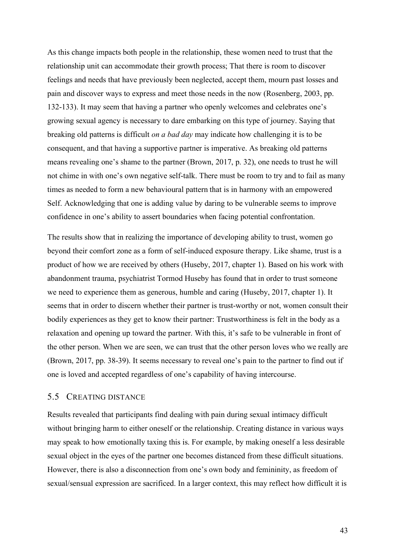As this change impacts both people in the relationship, these women need to trust that the relationship unit can accommodate their growth process; That there is room to discover feelings and needs that have previously been neglected, accept them, mourn past losses and pain and discover ways to express and meet those needs in the now (Rosenberg, 2003, pp. 132-133). It may seem that having a partner who openly welcomes and celebrates one's growing sexual agency is necessary to dare embarking on this type of journey. Saying that breaking old patterns is difficult *on a bad day* may indicate how challenging it is to be consequent, and that having a supportive partner is imperative. As breaking old patterns means revealing one's shame to the partner (Brown, 2017, p. 32), one needs to trust he will not chime in with one's own negative self-talk. There must be room to try and to fail as many times as needed to form a new behavioural pattern that is in harmony with an empowered Self. Acknowledging that one is adding value by daring to be vulnerable seems to improve confidence in one's ability to assert boundaries when facing potential confrontation.

The results show that in realizing the importance of developing ability to trust, women go beyond their comfort zone as a form of self-induced exposure therapy. Like shame, trust is a product of how we are received by others (Huseby, 2017, chapter 1). Based on his work with abandonment trauma, psychiatrist Tormod Huseby has found that in order to trust someone we need to experience them as generous, humble and caring (Huseby, 2017, chapter 1). It seems that in order to discern whether their partner is trust-worthy or not, women consult their bodily experiences as they get to know their partner: Trustworthiness is felt in the body as a relaxation and opening up toward the partner. With this, it's safe to be vulnerable in front of the other person. When we are seen, we can trust that the other person loves who we really are (Brown, 2017, pp. 38-39). It seems necessary to reveal one's pain to the partner to find out if one is loved and accepted regardless of one's capability of having intercourse.

### 5.5 CREATING DISTANCE

Results revealed that participants find dealing with pain during sexual intimacy difficult without bringing harm to either oneself or the relationship. Creating distance in various ways may speak to how emotionally taxing this is. For example, by making oneself a less desirable sexual object in the eyes of the partner one becomes distanced from these difficult situations. However, there is also a disconnection from one's own body and femininity, as freedom of sexual/sensual expression are sacrificed. In a larger context, this may reflect how difficult it is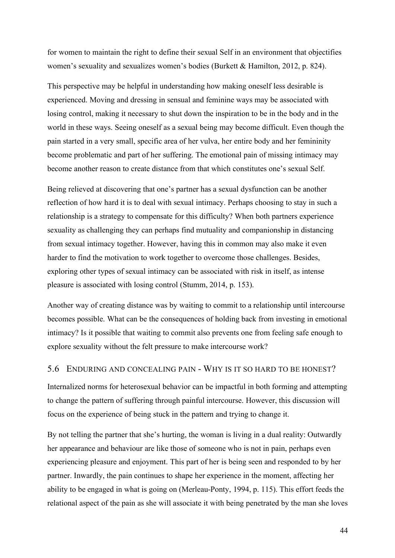for women to maintain the right to define their sexual Self in an environment that objectifies women's sexuality and sexualizes women's bodies (Burkett & Hamilton, 2012, p. 824).

This perspective may be helpful in understanding how making oneself less desirable is experienced. Moving and dressing in sensual and feminine ways may be associated with losing control, making it necessary to shut down the inspiration to be in the body and in the world in these ways. Seeing oneself as a sexual being may become difficult. Even though the pain started in a very small, specific area of her vulva, her entire body and her femininity become problematic and part of her suffering. The emotional pain of missing intimacy may become another reason to create distance from that which constitutes one's sexual Self.

Being relieved at discovering that one's partner has a sexual dysfunction can be another reflection of how hard it is to deal with sexual intimacy. Perhaps choosing to stay in such a relationship is a strategy to compensate for this difficulty? When both partners experience sexuality as challenging they can perhaps find mutuality and companionship in distancing from sexual intimacy together. However, having this in common may also make it even harder to find the motivation to work together to overcome those challenges. Besides, exploring other types of sexual intimacy can be associated with risk in itself, as intense pleasure is associated with losing control (Stumm, 2014, p. 153).

Another way of creating distance was by waiting to commit to a relationship until intercourse becomes possible. What can be the consequences of holding back from investing in emotional intimacy? Is it possible that waiting to commit also prevents one from feeling safe enough to explore sexuality without the felt pressure to make intercourse work?

### 5.6 ENDURING AND CONCEALING PAIN - WHY IS IT SO HARD TO BE HONEST?

Internalized norms for heterosexual behavior can be impactful in both forming and attempting to change the pattern of suffering through painful intercourse. However, this discussion will focus on the experience of being stuck in the pattern and trying to change it.

By not telling the partner that she's hurting, the woman is living in a dual reality: Outwardly her appearance and behaviour are like those of someone who is not in pain, perhaps even experiencing pleasure and enjoyment. This part of her is being seen and responded to by her partner. Inwardly, the pain continues to shape her experience in the moment, affecting her ability to be engaged in what is going on (Merleau-Ponty, 1994, p. 115). This effort feeds the relational aspect of the pain as she will associate it with being penetrated by the man she loves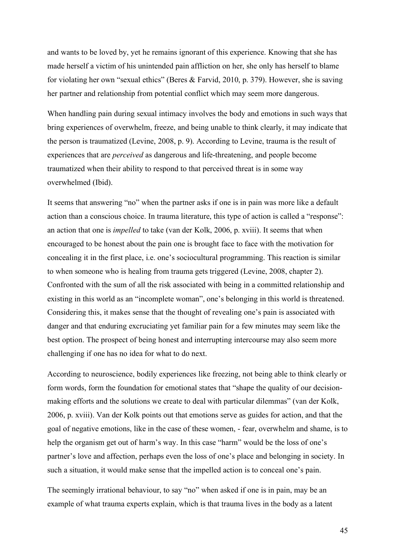and wants to be loved by, yet he remains ignorant of this experience. Knowing that she has made herself a victim of his unintended pain affliction on her, she only has herself to blame for violating her own "sexual ethics" (Beres & Farvid, 2010, p. 379). However, she is saving her partner and relationship from potential conflict which may seem more dangerous.

When handling pain during sexual intimacy involves the body and emotions in such ways that bring experiences of overwhelm, freeze, and being unable to think clearly, it may indicate that the person is traumatized (Levine, 2008, p. 9). According to Levine, trauma is the result of experiences that are *perceived* as dangerous and life-threatening, and people become traumatized when their ability to respond to that perceived threat is in some way overwhelmed (Ibid).

It seems that answering "no" when the partner asks if one is in pain was more like a default action than a conscious choice. In trauma literature, this type of action is called a "response": an action that one is *impelled* to take (van der Kolk, 2006, p. xviii). It seems that when encouraged to be honest about the pain one is brought face to face with the motivation for concealing it in the first place, i.e. one's sociocultural programming. This reaction is similar to when someone who is healing from trauma gets triggered (Levine, 2008, chapter 2). Confronted with the sum of all the risk associated with being in a committed relationship and existing in this world as an "incomplete woman", one's belonging in this world is threatened. Considering this, it makes sense that the thought of revealing one's pain is associated with danger and that enduring excruciating yet familiar pain for a few minutes may seem like the best option. The prospect of being honest and interrupting intercourse may also seem more challenging if one has no idea for what to do next.

According to neuroscience, bodily experiences like freezing, not being able to think clearly or form words, form the foundation for emotional states that "shape the quality of our decisionmaking efforts and the solutions we create to deal with particular dilemmas" (van der Kolk, 2006, p. xviii). Van der Kolk points out that emotions serve as guides for action, and that the goal of negative emotions, like in the case of these women, - fear, overwhelm and shame, is to help the organism get out of harm's way. In this case "harm" would be the loss of one's partner's love and affection, perhaps even the loss of one's place and belonging in society. In such a situation, it would make sense that the impelled action is to conceal one's pain.

The seemingly irrational behaviour, to say "no" when asked if one is in pain, may be an example of what trauma experts explain, which is that trauma lives in the body as a latent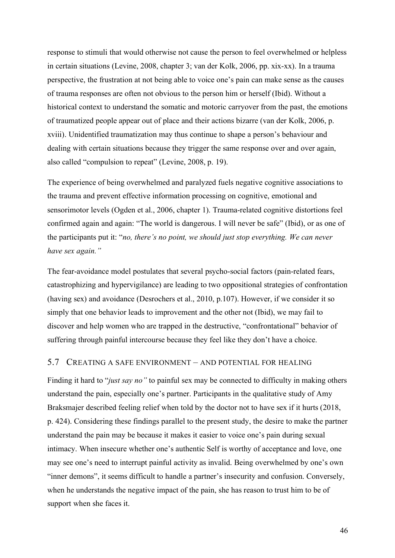response to stimuli that would otherwise not cause the person to feel overwhelmed or helpless in certain situations (Levine, 2008, chapter 3; van der Kolk, 2006, pp. xix-xx). In a trauma perspective, the frustration at not being able to voice one's pain can make sense as the causes of trauma responses are often not obvious to the person him or herself (Ibid). Without a historical context to understand the somatic and motoric carryover from the past, the emotions of traumatized people appear out of place and their actions bizarre (van der Kolk, 2006, p. xviii). Unidentified traumatization may thus continue to shape a person's behaviour and dealing with certain situations because they trigger the same response over and over again, also called "compulsion to repeat" (Levine, 2008, p. 19).

The experience of being overwhelmed and paralyzed fuels negative cognitive associations to the trauma and prevent effective information processing on cognitive, emotional and sensorimotor levels (Ogden et al., 2006, chapter 1). Trauma-related cognitive distortions feel confirmed again and again: "The world is dangerous. I will never be safe" (Ibid), or as one of the participants put it: "*no, there's no point, we should just stop everything. We can never have sex again."*

The fear-avoidance model postulates that several psycho-social factors (pain-related fears, catastrophizing and hypervigilance) are leading to two oppositional strategies of confrontation (having sex) and avoidance (Desrochers et al., 2010, p.107). However, if we consider it so simply that one behavior leads to improvement and the other not (Ibid), we may fail to discover and help women who are trapped in the destructive, "confrontational" behavior of suffering through painful intercourse because they feel like they don't have a choice.

### 5.7 CREATING A SAFE ENVIRONMENT – AND POTENTIAL FOR HEALING

Finding it hard to "*just say no"* to painful sex may be connected to difficulty in making others understand the pain, especially one's partner. Participants in the qualitative study of Amy Braksmajer described feeling relief when told by the doctor not to have sex if it hurts (2018, p. 424). Considering these findings parallel to the present study, the desire to make the partner understand the pain may be because it makes it easier to voice one's pain during sexual intimacy. When insecure whether one's authentic Self is worthy of acceptance and love, one may see one's need to interrupt painful activity as invalid. Being overwhelmed by one's own "inner demons", it seems difficult to handle a partner's insecurity and confusion. Conversely, when he understands the negative impact of the pain, she has reason to trust him to be of support when she faces it.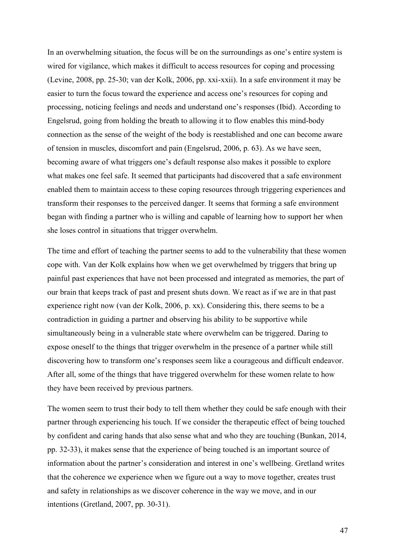In an overwhelming situation, the focus will be on the surroundings as one's entire system is wired for vigilance, which makes it difficult to access resources for coping and processing (Levine, 2008, pp. 25-30; van der Kolk, 2006, pp. xxi-xxii). In a safe environment it may be easier to turn the focus toward the experience and access one's resources for coping and processing, noticing feelings and needs and understand one's responses (Ibid). According to Engelsrud, going from holding the breath to allowing it to flow enables this mind-body connection as the sense of the weight of the body is reestablished and one can become aware of tension in muscles, discomfort and pain (Engelsrud, 2006, p. 63). As we have seen, becoming aware of what triggers one's default response also makes it possible to explore what makes one feel safe. It seemed that participants had discovered that a safe environment enabled them to maintain access to these coping resources through triggering experiences and transform their responses to the perceived danger. It seems that forming a safe environment began with finding a partner who is willing and capable of learning how to support her when she loses control in situations that trigger overwhelm.

The time and effort of teaching the partner seems to add to the vulnerability that these women cope with. Van der Kolk explains how when we get overwhelmed by triggers that bring up painful past experiences that have not been processed and integrated as memories, the part of our brain that keeps track of past and present shuts down. We react as if we are in that past experience right now (van der Kolk, 2006, p. xx). Considering this, there seems to be a contradiction in guiding a partner and observing his ability to be supportive while simultaneously being in a vulnerable state where overwhelm can be triggered. Daring to expose oneself to the things that trigger overwhelm in the presence of a partner while still discovering how to transform one's responses seem like a courageous and difficult endeavor. After all, some of the things that have triggered overwhelm for these women relate to how they have been received by previous partners.

The women seem to trust their body to tell them whether they could be safe enough with their partner through experiencing his touch. If we consider the therapeutic effect of being touched by confident and caring hands that also sense what and who they are touching (Bunkan, 2014, pp. 32-33), it makes sense that the experience of being touched is an important source of information about the partner's consideration and interest in one's wellbeing. Gretland writes that the coherence we experience when we figure out a way to move together, creates trust and safety in relationships as we discover coherence in the way we move, and in our intentions (Gretland, 2007, pp. 30-31).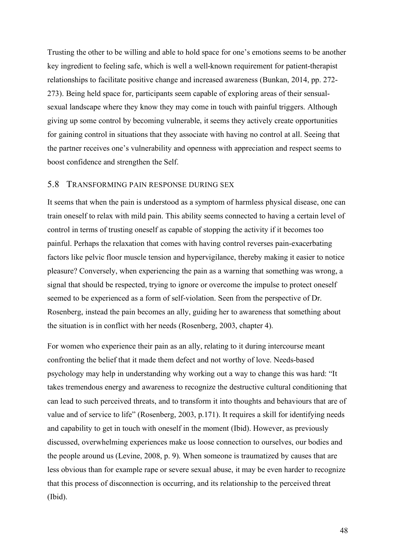Trusting the other to be willing and able to hold space for one's emotions seems to be another key ingredient to feeling safe, which is well a well-known requirement for patient-therapist relationships to facilitate positive change and increased awareness (Bunkan, 2014, pp. 272- 273). Being held space for, participants seem capable of exploring areas of their sensualsexual landscape where they know they may come in touch with painful triggers. Although giving up some control by becoming vulnerable, it seems they actively create opportunities for gaining control in situations that they associate with having no control at all. Seeing that the partner receives one's vulnerability and openness with appreciation and respect seems to boost confidence and strengthen the Self.

### 5.8 TRANSFORMING PAIN RESPONSE DURING SEX

It seems that when the pain is understood as a symptom of harmless physical disease, one can train oneself to relax with mild pain. This ability seems connected to having a certain level of control in terms of trusting oneself as capable of stopping the activity if it becomes too painful. Perhaps the relaxation that comes with having control reverses pain-exacerbating factors like pelvic floor muscle tension and hypervigilance, thereby making it easier to notice pleasure? Conversely, when experiencing the pain as a warning that something was wrong, a signal that should be respected, trying to ignore or overcome the impulse to protect oneself seemed to be experienced as a form of self-violation. Seen from the perspective of Dr. Rosenberg, instead the pain becomes an ally, guiding her to awareness that something about the situation is in conflict with her needs (Rosenberg, 2003, chapter 4).

For women who experience their pain as an ally, relating to it during intercourse meant confronting the belief that it made them defect and not worthy of love. Needs-based psychology may help in understanding why working out a way to change this was hard: "It takes tremendous energy and awareness to recognize the destructive cultural conditioning that can lead to such perceived threats, and to transform it into thoughts and behaviours that are of value and of service to life" (Rosenberg, 2003, p.171). It requires a skill for identifying needs and capability to get in touch with oneself in the moment (Ibid). However, as previously discussed, overwhelming experiences make us loose connection to ourselves, our bodies and the people around us (Levine, 2008, p. 9). When someone is traumatized by causes that are less obvious than for example rape or severe sexual abuse, it may be even harder to recognize that this process of disconnection is occurring, and its relationship to the perceived threat (Ibid).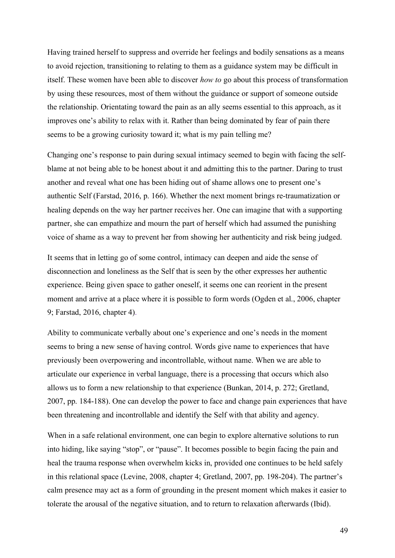Having trained herself to suppress and override her feelings and bodily sensations as a means to avoid rejection, transitioning to relating to them as a guidance system may be difficult in itself. These women have been able to discover *how to* go about this process of transformation by using these resources, most of them without the guidance or support of someone outside the relationship. Orientating toward the pain as an ally seems essential to this approach, as it improves one's ability to relax with it. Rather than being dominated by fear of pain there seems to be a growing curiosity toward it; what is my pain telling me?

Changing one's response to pain during sexual intimacy seemed to begin with facing the selfblame at not being able to be honest about it and admitting this to the partner. Daring to trust another and reveal what one has been hiding out of shame allows one to present one's authentic Self (Farstad, 2016, p. 166). Whether the next moment brings re-traumatization or healing depends on the way her partner receives her. One can imagine that with a supporting partner, she can empathize and mourn the part of herself which had assumed the punishing voice of shame as a way to prevent her from showing her authenticity and risk being judged.

It seems that in letting go of some control, intimacy can deepen and aide the sense of disconnection and loneliness as the Self that is seen by the other expresses her authentic experience. Being given space to gather oneself, it seems one can reorient in the present moment and arrive at a place where it is possible to form words (Ogden et al., 2006, chapter 9; Farstad, 2016, chapter 4).

Ability to communicate verbally about one's experience and one's needs in the moment seems to bring a new sense of having control. Words give name to experiences that have previously been overpowering and incontrollable, without name. When we are able to articulate our experience in verbal language, there is a processing that occurs which also allows us to form a new relationship to that experience (Bunkan, 2014, p. 272; Gretland, 2007, pp. 184-188). One can develop the power to face and change pain experiences that have been threatening and incontrollable and identify the Self with that ability and agency.

When in a safe relational environment, one can begin to explore alternative solutions to run into hiding, like saying "stop", or "pause". It becomes possible to begin facing the pain and heal the trauma response when overwhelm kicks in, provided one continues to be held safely in this relational space (Levine, 2008, chapter 4; Gretland, 2007, pp. 198-204). The partner's calm presence may act as a form of grounding in the present moment which makes it easier to tolerate the arousal of the negative situation, and to return to relaxation afterwards (Ibid).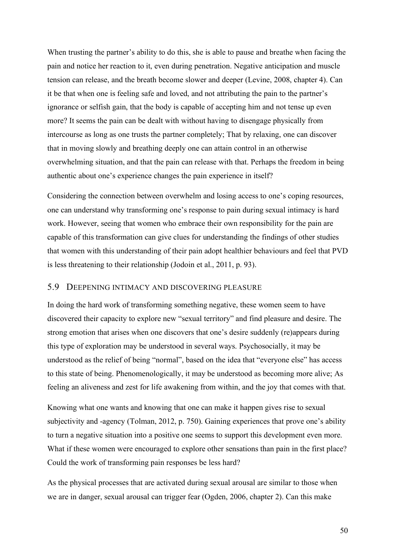When trusting the partner's ability to do this, she is able to pause and breathe when facing the pain and notice her reaction to it, even during penetration. Negative anticipation and muscle tension can release, and the breath become slower and deeper (Levine, 2008, chapter 4). Can it be that when one is feeling safe and loved, and not attributing the pain to the partner's ignorance or selfish gain, that the body is capable of accepting him and not tense up even more? It seems the pain can be dealt with without having to disengage physically from intercourse as long as one trusts the partner completely; That by relaxing, one can discover that in moving slowly and breathing deeply one can attain control in an otherwise overwhelming situation, and that the pain can release with that. Perhaps the freedom in being authentic about one's experience changes the pain experience in itself?

Considering the connection between overwhelm and losing access to one's coping resources, one can understand why transforming one's response to pain during sexual intimacy is hard work. However, seeing that women who embrace their own responsibility for the pain are capable of this transformation can give clues for understanding the findings of other studies that women with this understanding of their pain adopt healthier behaviours and feel that PVD is less threatening to their relationship (Jodoin et al., 2011, p. 93).

## 5.9 DEEPENING INTIMACY AND DISCOVERING PLEASURE

In doing the hard work of transforming something negative, these women seem to have discovered their capacity to explore new "sexual territory" and find pleasure and desire. The strong emotion that arises when one discovers that one's desire suddenly (re)appears during this type of exploration may be understood in several ways. Psychosocially, it may be understood as the relief of being "normal", based on the idea that "everyone else" has access to this state of being. Phenomenologically, it may be understood as becoming more alive; As feeling an aliveness and zest for life awakening from within, and the joy that comes with that.

Knowing what one wants and knowing that one can make it happen gives rise to sexual subjectivity and -agency (Tolman, 2012, p. 750). Gaining experiences that prove one's ability to turn a negative situation into a positive one seems to support this development even more. What if these women were encouraged to explore other sensations than pain in the first place? Could the work of transforming pain responses be less hard?

As the physical processes that are activated during sexual arousal are similar to those when we are in danger, sexual arousal can trigger fear (Ogden, 2006, chapter 2). Can this make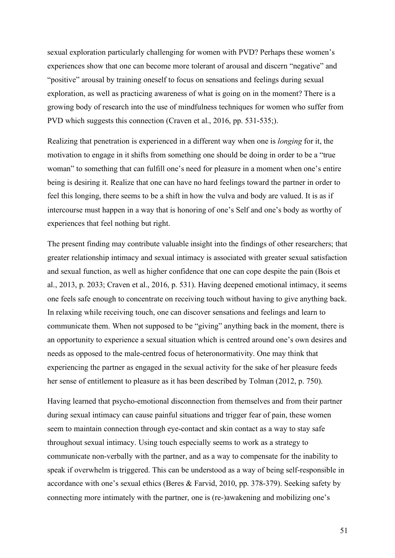sexual exploration particularly challenging for women with PVD? Perhaps these women's experiences show that one can become more tolerant of arousal and discern "negative" and "positive" arousal by training oneself to focus on sensations and feelings during sexual exploration, as well as practicing awareness of what is going on in the moment? There is a growing body of research into the use of mindfulness techniques for women who suffer from PVD which suggests this connection (Craven et al., 2016, pp. 531-535;).

Realizing that penetration is experienced in a different way when one is *longing* for it, the motivation to engage in it shifts from something one should be doing in order to be a "true woman" to something that can fulfill one's need for pleasure in a moment when one's entire being is desiring it. Realize that one can have no hard feelings toward the partner in order to feel this longing, there seems to be a shift in how the vulva and body are valued. It is as if intercourse must happen in a way that is honoring of one's Self and one's body as worthy of experiences that feel nothing but right.

The present finding may contribute valuable insight into the findings of other researchers; that greater relationship intimacy and sexual intimacy is associated with greater sexual satisfaction and sexual function, as well as higher confidence that one can cope despite the pain (Bois et al., 2013, p. 2033; Craven et al., 2016, p. 531). Having deepened emotional intimacy, it seems one feels safe enough to concentrate on receiving touch without having to give anything back. In relaxing while receiving touch, one can discover sensations and feelings and learn to communicate them. When not supposed to be "giving" anything back in the moment, there is an opportunity to experience a sexual situation which is centred around one's own desires and needs as opposed to the male-centred focus of heteronormativity. One may think that experiencing the partner as engaged in the sexual activity for the sake of her pleasure feeds her sense of entitlement to pleasure as it has been described by Tolman (2012, p. 750).

Having learned that psycho-emotional disconnection from themselves and from their partner during sexual intimacy can cause painful situations and trigger fear of pain, these women seem to maintain connection through eye-contact and skin contact as a way to stay safe throughout sexual intimacy. Using touch especially seems to work as a strategy to communicate non-verbally with the partner, and as a way to compensate for the inability to speak if overwhelm is triggered. This can be understood as a way of being self-responsible in accordance with one's sexual ethics (Beres & Farvid, 2010, pp. 378-379). Seeking safety by connecting more intimately with the partner, one is (re-)awakening and mobilizing one's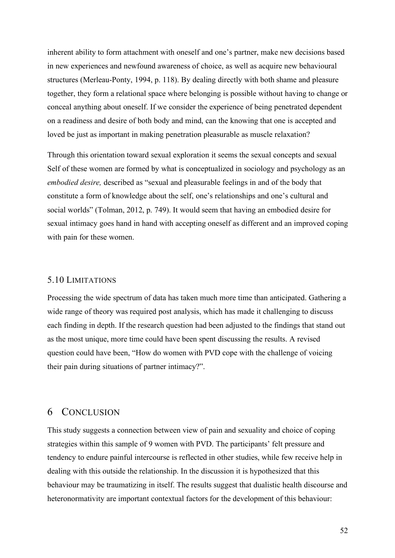inherent ability to form attachment with oneself and one's partner, make new decisions based in new experiences and newfound awareness of choice, as well as acquire new behavioural structures (Merleau-Ponty, 1994, p. 118). By dealing directly with both shame and pleasure together, they form a relational space where belonging is possible without having to change or conceal anything about oneself. If we consider the experience of being penetrated dependent on a readiness and desire of both body and mind, can the knowing that one is accepted and loved be just as important in making penetration pleasurable as muscle relaxation?

Through this orientation toward sexual exploration it seems the sexual concepts and sexual Self of these women are formed by what is conceptualized in sociology and psychology as an *embodied desire,* described as "sexual and pleasurable feelings in and of the body that constitute a form of knowledge about the self, one's relationships and one's cultural and social worlds" (Tolman, 2012, p. 749). It would seem that having an embodied desire for sexual intimacy goes hand in hand with accepting oneself as different and an improved coping with pain for these women.

### 5.10 LIMITATIONS

Processing the wide spectrum of data has taken much more time than anticipated. Gathering a wide range of theory was required post analysis, which has made it challenging to discuss each finding in depth. If the research question had been adjusted to the findings that stand out as the most unique, more time could have been spent discussing the results. A revised question could have been, "How do women with PVD cope with the challenge of voicing their pain during situations of partner intimacy?".

## 6 CONCLUSION

This study suggests a connection between view of pain and sexuality and choice of coping strategies within this sample of 9 women with PVD. The participants' felt pressure and tendency to endure painful intercourse is reflected in other studies, while few receive help in dealing with this outside the relationship. In the discussion it is hypothesized that this behaviour may be traumatizing in itself. The results suggest that dualistic health discourse and heteronormativity are important contextual factors for the development of this behaviour: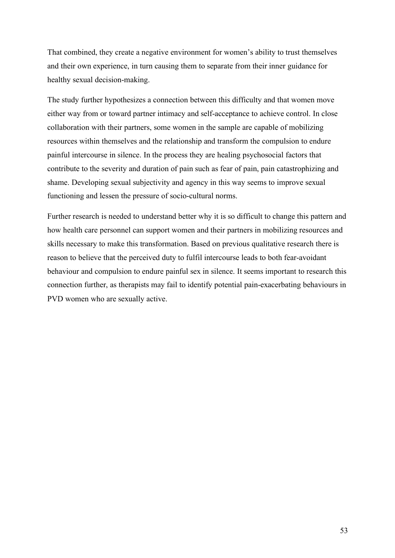That combined, they create a negative environment for women's ability to trust themselves and their own experience, in turn causing them to separate from their inner guidance for healthy sexual decision-making.

The study further hypothesizes a connection between this difficulty and that women move either way from or toward partner intimacy and self-acceptance to achieve control. In close collaboration with their partners, some women in the sample are capable of mobilizing resources within themselves and the relationship and transform the compulsion to endure painful intercourse in silence. In the process they are healing psychosocial factors that contribute to the severity and duration of pain such as fear of pain, pain catastrophizing and shame. Developing sexual subjectivity and agency in this way seems to improve sexual functioning and lessen the pressure of socio-cultural norms.

Further research is needed to understand better why it is so difficult to change this pattern and how health care personnel can support women and their partners in mobilizing resources and skills necessary to make this transformation. Based on previous qualitative research there is reason to believe that the perceived duty to fulfil intercourse leads to both fear-avoidant behaviour and compulsion to endure painful sex in silence. It seems important to research this connection further, as therapists may fail to identify potential pain-exacerbating behaviours in PVD women who are sexually active.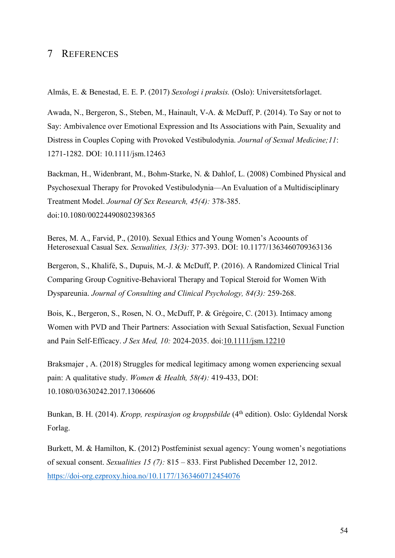## 7 REFERENCES

Almås, E. & Benestad, E. E. P. (2017) *Sexologi i praksis.* (Oslo): Universitetsforlaget.

Awada, N., Bergeron, S., Steben, M., Hainault, V-A. & McDuff, P. (2014). To Say or not to Say: Ambivalence over Emotional Expression and Its Associations with Pain, Sexuality and Distress in Couples Coping with Provoked Vestibulodynia. *Journal of Sexual Medicine;11*: 1271-1282. DOI: 10.1111/jsm.12463

Backman, H., Widenbrant, M., Bohm-Starke, N. & Dahlof, L. (2008) Combined Physical and Psychosexual Therapy for Provoked Vestibulodynia—An Evaluation of a Multidisciplinary Treatment Model. *Journal Of Sex Research, 45(4):* 378-385. doi:10.1080/00224490802398365

Beres, M. A., Farvid, P., (2010). Sexual Ethics and Young Women's Acoounts of Heterosexual Casual Sex. *Sexualities, 13(3):* 377-393. DOI: 10.1177/1363460709363136

Bergeron, S., Khalifé, S., Dupuis, M.-J. & McDuff, P. (2016). A Randomized Clinical Trial Comparing Group Cognitive-Behavioral Therapy and Topical Steroid for Women With Dyspareunia. *Journal of Consulting and Clinical Psychology, 84(3):* 259-268.

Bois, K., Bergeron, S., Rosen, N. O., McDuff, P. & Grégoire, C. (2013). Intimacy among Women with PVD and Their Partners: Association with Sexual Satisfaction, Sexual Function and Pain Self-Efficacy. *J Sex Med, 10:* 2024-2035. doi:10.1111/jsm.12210

Braksmajer , A. (2018) Struggles for medical legitimacy among women experiencing sexual pain: A qualitative study. *Women & Health, 58(4):* 419-433, DOI: 10.1080/03630242.2017.1306606

Bunkan, B. H. (2014). *Kropp, respirasjon og kroppsbilde* (4<sup>th</sup> edition). Oslo: Gyldendal Norsk Forlag.

Burkett, M. & Hamilton, K. (2012) Postfeminist sexual agency: Young women's negotiations of sexual consent. *Sexualities 15 (7):* 815 – 833. First Published December 12, 2012. https://doi-org.ezproxy.hioa.no/10.1177/1363460712454076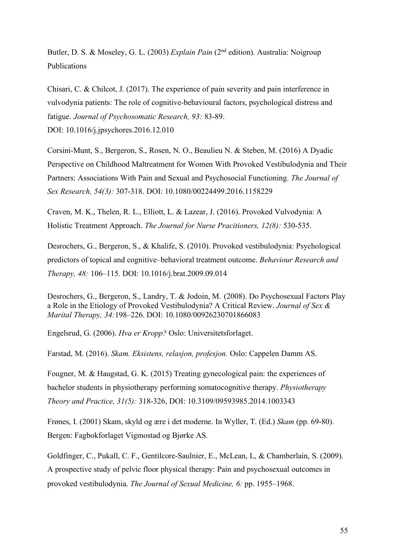Butler, D. S. & Moseley, G. L. (2003) *Explain Pain* (2<sup>nd</sup> edition). Australia: Noigroup Publications

Chisari, C. & Chilcot, J. (2017). The experience of pain severity and pain interference in vulvodynia patients: The role of cognitive-behavioural factors, psychological distress and fatigue. *Journal of Psychosomatic Research, 93:* 83-89. DOI: 10.1016/j.jpsychores.2016.12.010

Corsini-Munt, S., Bergeron, S., Rosen, N. O., Beaulieu N. & Steben, M. (2016) A Dyadic Perspective on Childhood Maltreatment for Women With Provoked Vestibulodynia and Their Partners: Associations With Pain and Sexual and Psychosocial Functioning. *The Journal of Sex Research, 54(3):* 307-318. DOI: 10.1080/00224499.2016.1158229

Craven, M. K., Thelen, R. L., Elliott, L. & Lazear, J. (2016). Provoked Vulvodynia: A Holistic Treatment Approach. *The Journal for Nurse Pracitioners, 12(8):* 530-535.

Desrochers, G., Bergeron, S., & Khalife, S. (2010). Provoked vestibulodynia: Psychological predictors of topical and cognitive–behavioral treatment outcome. *Behaviour Research and Therapy, 48:* 106–115. DOI: 10.1016/j.brat.2009.09.014

Desrochers, G., Bergeron, S., Landry, T. & Jodoin, M. (2008). Do Psychosexual Factors Play a Role in the Etiology of Provoked Vestibulodynia? A Critical Review. *Journal of Sex & Marital Therapy, 34:*198–226. DOI: 10.1080/00926230701866083

Engelsrud, G. (2006). *Hva er Kropp?* Oslo: Universitetsforlaget.

Farstad, M. (2016). *Skam. Eksistens, relasjon, profesjon.* Oslo: Cappelen Damm AS.

Fougner, M. & Haugstad, G. K. (2015) Treating gynecological pain: the experiences of bachelor students in physiotherapy performing somatocognitive therapy. *Physiotherapy Theory and Practice, 31(5):* 318-326, DOI: 10.3109/09593985.2014.1003343

Frønes, I. (2001) Skam, skyld og ære i det moderne. In Wyller, T. (Ed.) *Skam* (pp. 69-80). Bergen: Fagbokforlaget Vigmostad og Bjørke AS.

Goldfinger, C., Pukall, C. F., Gentilcore-Saulnier, E., McLean, L, & Chamberlain, S. (2009). A prospective study of pelvic floor physical therapy: Pain and psychosexual outcomes in provoked vestibulodynia. *The Journal of Sexual Medicine, 6:* pp. 1955–1968.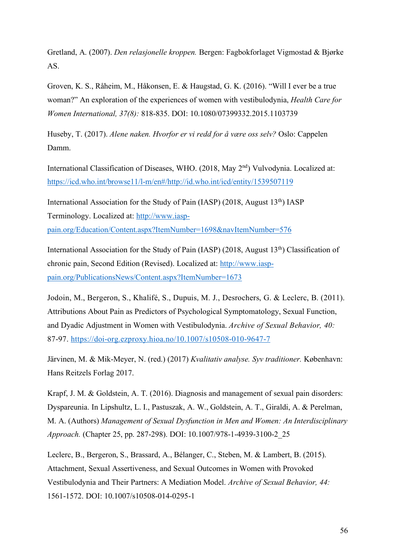Gretland, A. (2007). *Den relasjonelle kroppen.* Bergen: Fagbokforlaget Vigmostad & Bjørke AS.

Groven, K. S., Råheim, M., Håkonsen, E. & Haugstad, G. K. (2016). "Will I ever be a true woman?" An exploration of the experiences of women with vestibulodynia, *Health Care for Women International, 37(8):* 818-835. DOI: 10.1080/07399332.2015.1103739

Huseby, T. (2017). *Alene naken. Hvorfor er vi redd for å være oss selv?* Oslo: Cappelen Damm.

International Classification of Diseases, WHO. (2018, May 2nd) Vulvodynia. Localized at: https://icd.who.int/browse11/l-m/en#/http://id.who.int/icd/entity/1539507119

International Association for the Study of Pain (IASP) (2018, August 13th) IASP Terminology. Localized at: http://www.iasp-

pain.org/Education/Content.aspx?ItemNumber=1698&navItemNumber=576

International Association for the Study of Pain (IASP) (2018, August 13<sup>th</sup>) Classification of chronic pain, Second Edition (Revised). Localized at: http://www.iasppain.org/PublicationsNews/Content.aspx?ItemNumber=1673

Jodoin, M., Bergeron, S., Khalifé, S., Dupuis, M. J., Desrochers, G. & Leclerc, B. (2011). Attributions About Pain as Predictors of Psychological Symptomatology, Sexual Function, and Dyadic Adjustment in Women with Vestibulodynia. *Archive of Sexual Behavior, 40:* 87-97. https://doi-org.ezproxy.hioa.no/10.1007/s10508-010-9647-7

Järvinen, M. & Mik-Meyer, N. (red.) (2017) *Kvalitativ analyse. Syv traditioner.* København: Hans Reitzels Forlag 2017.

Krapf, J. M. & Goldstein, A. T. (2016). Diagnosis and management of sexual pain disorders: Dyspareunia. In Lipshultz, L. I., Pastuszak, A. W., Goldstein, A. T., Giraldi, A. & Perelman, M. A. (Authors) *Management of Sexual Dysfunction in Men and Women: An Interdisciplinary Approach.* (Chapter 25, pp. 287-298). DOI: 10.1007/978-1-4939-3100-2\_25

Leclerc, B., Bergeron, S., Brassard, A., Bélanger, C., Steben, M. & Lambert, B. (2015). Attachment, Sexual Assertiveness, and Sexual Outcomes in Women with Provoked Vestibulodynia and Their Partners: A Mediation Model. *Archive of Sexual Behavior, 44:*  1561-1572. DOI: 10.1007/s10508-014-0295-1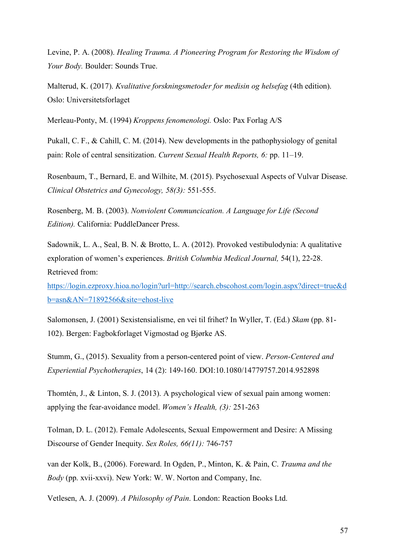Levine, P. A. (2008). *Healing Trauma. A Pioneering Program for Restoring the Wisdom of Your Body.* Boulder: Sounds True.

Malterud, K. (2017). *Kvalitative forskningsmetoder for medisin og helsefag* (4th edition). Oslo: Universitetsforlaget

Merleau-Ponty, M. (1994) *Kroppens fenomenologi.* Oslo: Pax Forlag A/S

Pukall, C. F., & Cahill, C. M. (2014). New developments in the pathophysiology of genital pain: Role of central sensitization. *Current Sexual Health Reports, 6:* pp. 11–19.

Rosenbaum, T., Bernard, E. and Wilhite, M. (2015). Psychosexual Aspects of Vulvar Disease. *Clinical Obstetrics and Gynecology, 58(3):* 551-555.

Rosenberg, M. B. (2003). *Nonviolent Communcication. A Language for Life (Second Edition).* California: PuddleDancer Press.

Sadownik, L. A., Seal, B. N. & Brotto, L. A. (2012). Provoked vestibulodynia: A qualitative exploration of women's experiences. *British Columbia Medical Journal,* 54(1), 22-28. Retrieved from:

https://login.ezproxy.hioa.no/login?url=http://search.ebscohost.com/login.aspx?direct=true&d b=asn&AN=71892566&site=ehost-live

Salomonsen, J. (2001) Sexistensialisme, en vei til frihet? In Wyller, T. (Ed.) *Skam* (pp. 81- 102). Bergen: Fagbokforlaget Vigmostad og Bjørke AS.

Stumm, G., (2015). Sexuality from a person-centered point of view. *Person-Centered and Experiential Psychotherapies*, 14 (2): 149-160. DOI:10.1080/14779757.2014.952898

Thomtén, J., & Linton, S. J. (2013). A psychological view of sexual pain among women: applying the fear-avoidance model. *Women's Health, (3):* 251-263

Tolman, D. L. (2012). Female Adolescents, Sexual Empowerment and Desire: A Missing Discourse of Gender Inequity. *Sex Roles, 66(11):* 746-757

van der Kolk, B., (2006). Foreward. In Ogden, P., Minton, K. & Pain, C. *Trauma and the Body* (pp. xvii-xxvi). New York: W. W. Norton and Company, Inc.

Vetlesen, A. J. (2009). *A Philosophy of Pain*. London: Reaction Books Ltd.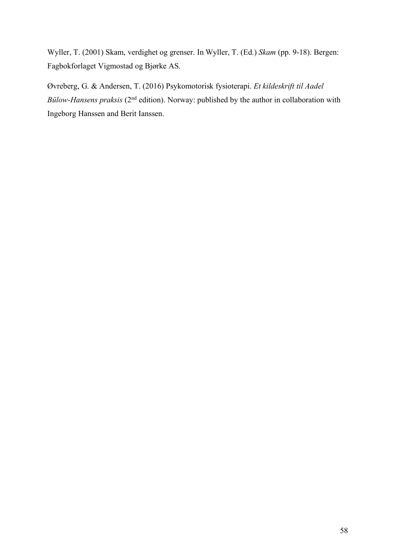Wyller, T. (2001) Skam, verdighet og grenser. In Wyller, T. (Ed.) *Skam* (pp. 9-18). Bergen: Fagbokforlaget Vigmostad og Bjørke AS.

Øvreberg, G. & Andersen, T. (2016) Psykomotorisk fysioterapi. *Et kildeskrift til Aadel Bülow-Hansens praksis* (2nd edition). Norway: published by the author in collaboration with Ingeborg Hanssen and Berit Ianssen.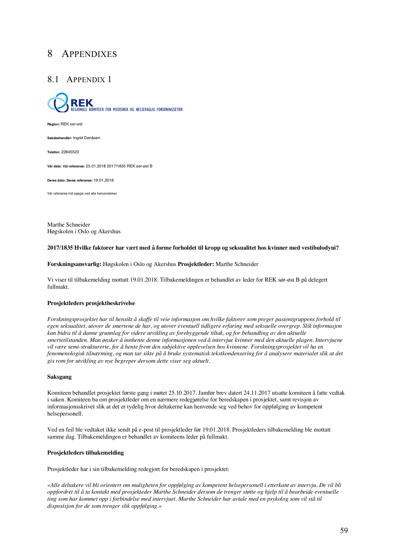# 8 APPENDIXES

## 8.1 APPENDIX 1



**Region:** REK sør-øst

Saksbehandler: Ingrid Dønåsen

**Telefon:** 22845523

**Vår dato: Vår referanse:** 25.01.2018 2017/1835 REK sør-øst B

**Deres dato: Deres referanse:** 19.01.2018

Vår referanse må oppgis ved alle henvendelser

Marthe Schneider Høgskolen i Oslo og Akershus

#### **2017/1835 Hvilke faktorer har vært med å forme forholdet til kropp og seksualitet hos kvinner med vestibulodyni?**

**Forskningsansvarlig:** Høgskolen i Oslo og Akershus **Prosjektleder:** Marthe Schneider

Vi viser til tilbakemelding mottatt 19.01.2018. Tilbakemeldingen er behandlet av leder for REK sør-øst B på delegert fullmakt.

#### **Prosjektleders prosjektbeskrivelse**

*Forskningsprosjektet har til hensikt å skaffe til veie informasjon om hvilke faktorer som preger pasientgruppens forhold til egen seksualitet, utover de smertene de har, og utover eventuell tidligere erfaring med seksuelle overgrep. Slik informasjon kan bidra til å danne grunnlag for videre utvikling av forebyggende tiltak, og for behandling av den aktuelle smertetilstanden. Man ønsker å innhente denne informasjonen ved å intervjue kvinner med den aktuelle plagen. Intervjuene vil være semi-strukturerte, for å hente frem den subjektive opplevelsen hos kvinnene. Forskningsprosjektet vil ha en fenomenologisk tilnærming, og man tar sikte på å bruke systematisk tekstkondensering for å analysere materialet slik at det gis rom for utvikling av nye begreper dersom dette viser seg aktuelt.* 

#### **Saksgang**

Komiteen behandlet prosjektet første gang i møtet 25.10.2017. Jamfør brev datert 24.11.2017 utsatte komiteen å fatte vedtak i saken. Komiteen ba om prosjektleder om en nærmere redegjørelse for beredskapen i prosjektet, samt revisjon av informasjonsskrivet slik at det er tydelig hvor deltakerne kan henvende seg ved behov for oppfølging av kompetent helsepersonell.

Ved en feil ble vedtaket ikke sendt på e-post til prosjektleder før 19.01.2018. Prosjektleders tilbakemelding ble mottatt samme dag. Tilbakemeldingen er behandlet av komiteens leder på fullmakt.

#### **Prosjektleders tilbakemelding**

Prosjektleder har i sin tilbakemelding redegjort for beredskapen i prosjektet:

«*Alle deltakere vil bli orientert om muligheten for oppfølging av kompetent helsepersonell i etterkant av intervju. De vil bli oppfordret til å ta kontakt med prosjekteder Marthe Schneider dersom de trenger støtte og hjelp til å bearbeide eventuelle ting som har kommet opp i forbindelse med intervjuet. Marthe Schneider har avtale med en psykolog som vil stå til disposisjon for de som trenger slik oppfølging.*»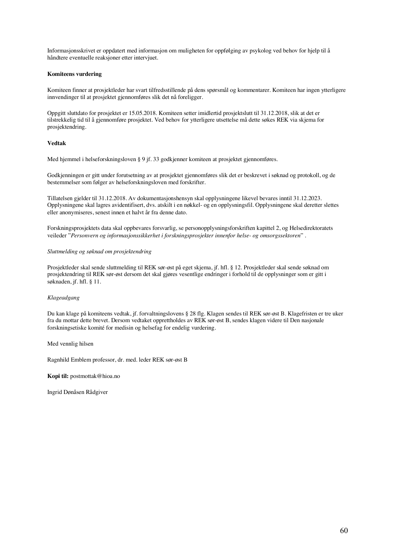Informasjonsskrivet er oppdatert med informasjon om muligheten for oppfølging av psykolog ved behov for hjelp til å håndtere eventuelle reaksjoner etter intervjuet.

### **Komiteens vurdering**

Komiteen finner at prosjektleder har svart tilfredsstillende på dens spørsmål og kommentarer. Komiteen har ingen ytterligere innvendinger til at prosjektet gjennomføres slik det nå foreligger.

Oppgitt sluttdato for prosjektet er 15.05.2018. Komiteen setter imidlertid prosjektslutt til 31.12.2018, slik at det er tilstrekkelig tid til å gjennomføre prosjektet. Ved behov for ytterligere utsettelse må dette søkes REK via skjema for prosjektendring.

### **Vedtak**

Med hjemmel i helseforskningsloven § 9 jf. 33 godkjenner komiteen at prosjektet gjennomføres.

Godkjenningen er gitt under forutsetning av at prosjektet gjennomføres slik det er beskrevet i søknad og protokoll, og de bestemmelser som følger av helseforskningsloven med forskrifter.

Tillatelsen gjelder til 31.12.2018. Av dokumentasjonshensyn skal opplysningene likevel bevares inntil 31.12.2023. Opplysningene skal lagres avidentifisert, dvs. atskilt i en nøkkel- og en opplysningsfil. Opplysningene skal deretter slettes eller anonymiseres, senest innen et halvt år fra denne dato.

Forskningsprosjektets data skal oppbevares forsvarlig, se personopplysningsforskriften kapittel 2, og Helsedirektoratets veileder "*Personvern og informasjonssikkerhet i forskningsprosjekter innenfor helse- og omsorgssektoren*" .

#### *Sluttmelding og søknad om prosjektendring*

Prosjektleder skal sende sluttmelding til REK sør-øst på eget skjema, jf. hfl. § 12. Prosjektleder skal sende søknad om prosjektendring til REK sør-øst dersom det skal gjøres vesentlige endringer i forhold til de opplysninger som er gitt i søknaden, jf. hfl. § 11.

#### *Klageadgang*

Du kan klage på komiteens vedtak, jf. forvaltningslovens § 28 flg. Klagen sendes til REK sør-øst B. Klagefristen er tre uker fra du mottar dette brevet. Dersom vedtaket opprettholdes av REK sør-øst B, sendes klagen videre til Den nasjonale forskningsetiske komité for medisin og helsefag for endelig vurdering.

Med vennlig hilsen

Ragnhild Emblem professor, dr. med. leder REK sør-øst B

**Kopi til:** postmottak@hioa.no

Ingrid Dønåsen Rådgiver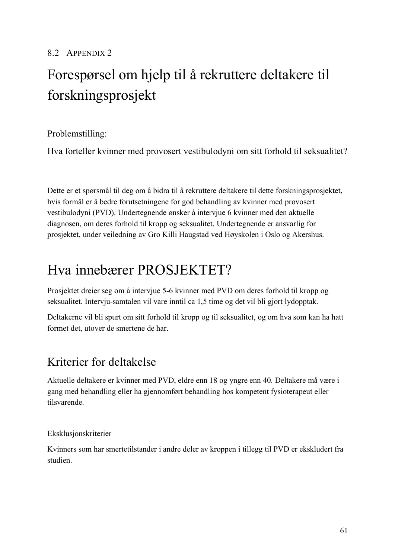# 8.2 APPENDIX 2

# Forespørsel om hjelp til å rekruttere deltakere til forskningsprosjekt

Problemstilling:

Hva forteller kvinner med provosert vestibulodyni om sitt forhold til seksualitet?

Dette er et spørsmål til deg om å bidra til å rekruttere deltakere til dette forskningsprosjektet, hvis formål er å bedre forutsetningene for god behandling av kvinner med provosert vestibulodyni (PVD). Undertegnende ønsker å intervjue 6 kvinner med den aktuelle diagnosen, om deres forhold til kropp og seksualitet. Undertegnende er ansvarlig for prosjektet, under veiledning av Gro Killi Haugstad ved Høyskolen i Oslo og Akershus.

# Hva innebærer PROSJEKTET?

Prosjektet dreier seg om å intervjue 5-6 kvinner med PVD om deres forhold til kropp og seksualitet. Intervju-samtalen vil vare inntil ca 1,5 time og det vil bli gjort lydopptak.

Deltakerne vil bli spurt om sitt forhold til kropp og til seksualitet, og om hva som kan ha hatt formet det, utover de smertene de har.

# Kriterier for deltakelse

Aktuelle deltakere er kvinner med PVD, eldre enn 18 og yngre enn 40. Deltakere må være i gang med behandling eller ha gjennomført behandling hos kompetent fysioterapeut eller tilsvarende.

Eksklusjonskriterier

Kvinners som har smertetilstander i andre deler av kroppen i tillegg til PVD er ekskludert fra studien.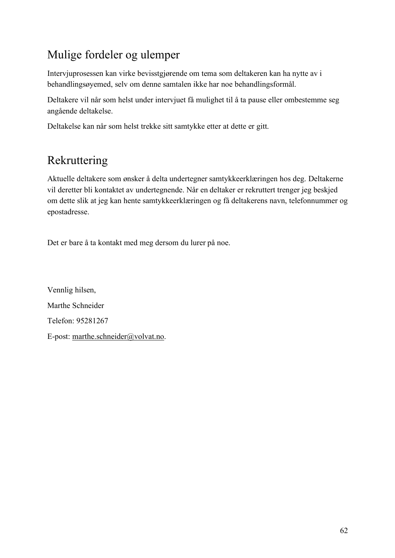# Mulige fordeler og ulemper

Intervjuprosessen kan virke bevisstgjørende om tema som deltakeren kan ha nytte av i behandlingsøyemed, selv om denne samtalen ikke har noe behandlingsformål.

Deltakere vil når som helst under intervjuet få mulighet til å ta pause eller ombestemme seg angående deltakelse.

Deltakelse kan når som helst trekke sitt samtykke etter at dette er gitt.

# Rekruttering

Aktuelle deltakere som ønsker å delta undertegner samtykkeerklæringen hos deg. Deltakerne vil deretter bli kontaktet av undertegnende. Når en deltaker er rekruttert trenger jeg beskjed om dette slik at jeg kan hente samtykkeerklæringen og få deltakerens navn, telefonnummer og epostadresse.

Det er bare å ta kontakt med meg dersom du lurer på noe.

Vennlig hilsen, Marthe Schneider Telefon: 95281267 E-post: marthe.schneider@volvat.no.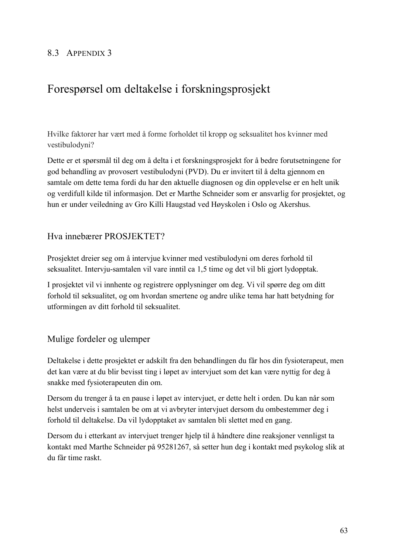# 8.3 APPENDIX 3

# Forespørsel om deltakelse i forskningsprosjekt

Hvilke faktorer har vært med å forme forholdet til kropp og seksualitet hos kvinner med vestibulodyni?

Dette er et spørsmål til deg om å delta i et forskningsprosjekt for å bedre forutsetningene for god behandling av provosert vestibulodyni (PVD). Du er invitert til å delta gjennom en samtale om dette tema fordi du har den aktuelle diagnosen og din opplevelse er en helt unik og verdifull kilde til informasjon. Det er Marthe Schneider som er ansvarlig for prosjektet, og hun er under veiledning av Gro Killi Haugstad ved Høyskolen i Oslo og Akershus.

## Hva innebærer PROSJEKTET?

Prosjektet dreier seg om å intervjue kvinner med vestibulodyni om deres forhold til seksualitet. Intervju-samtalen vil vare inntil ca 1,5 time og det vil bli gjort lydopptak.

I prosjektet vil vi innhente og registrere opplysninger om deg. Vi vil spørre deg om ditt forhold til seksualitet, og om hvordan smertene og andre ulike tema har hatt betydning for utformingen av ditt forhold til seksualitet.

## Mulige fordeler og ulemper

Deltakelse i dette prosjektet er adskilt fra den behandlingen du får hos din fysioterapeut, men det kan være at du blir bevisst ting i løpet av intervjuet som det kan være nyttig for deg å snakke med fysioterapeuten din om.

Dersom du trenger å ta en pause i løpet av intervjuet, er dette helt i orden. Du kan når som helst underveis i samtalen be om at vi avbryter intervjuet dersom du ombestemmer deg i forhold til deltakelse. Da vil lydopptaket av samtalen bli slettet med en gang.

Dersom du i etterkant av intervjuet trenger hjelp til å håndtere dine reaksjoner vennligst ta kontakt med Marthe Schneider på 95281267, så setter hun deg i kontakt med psykolog slik at du får time raskt.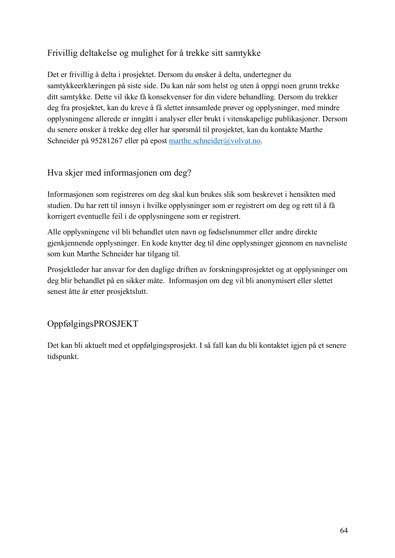# Frivillig deltakelse og mulighet for å trekke sitt samtykke

Det er frivillig å delta i prosjektet. Dersom du ønsker å delta, undertegner du samtykkeerklæringen på siste side. Du kan når som helst og uten å oppgi noen grunn trekke ditt samtykke. Dette vil ikke få konsekvenser for din videre behandling. Dersom du trekker deg fra prosjektet, kan du kreve å få slettet innsamlede prøver og opplysninger, med mindre opplysningene allerede er inngått i analyser eller brukt i vitenskapelige publikasjoner. Dersom du senere ønsker å trekke deg eller har spørsmål til prosjektet, kan du kontakte Marthe Schneider på 95281267 eller på epost marthe.schneider@volvat.no.

# Hva skjer med informasjonen om deg?

Informasjonen som registreres om deg skal kun brukes slik som beskrevet i hensikten med studien. Du har rett til innsyn i hvilke opplysninger som er registrert om deg og rett til å få korrigert eventuelle feil i de opplysningene som er registrert.

Alle opplysningene vil bli behandlet uten navn og fødselsnummer eller andre direkte gjenkjennende opplysninger. En kode knytter deg til dine opplysninger gjennom en navneliste som kun Marthe Schneider har tilgang til.

Prosjektleder har ansvar for den daglige driften av forskningsprosjektet og at opplysninger om deg blir behandlet på en sikker måte. Informasjon om deg vil bli anonymisert eller slettet senest åtte år etter prosjektslutt.

# OppfølgingsPROSJEKT

Det kan bli aktuelt med et oppfølgingsprosjekt. I så fall kan du bli kontaktet igjen på et senere tidspunkt.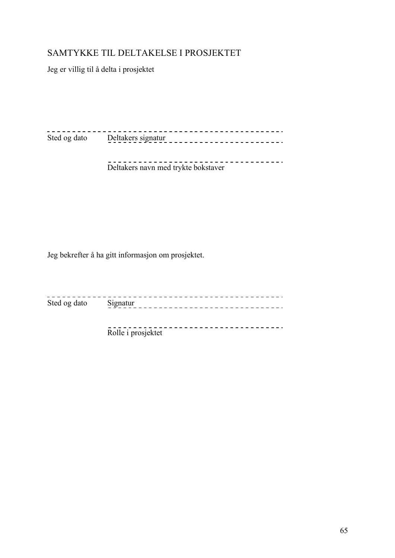# SAMTYKKE TIL DELTAKELSE I PROSJEKTET

Jeg er villig til å delta i prosjektet

---------Sted og dato Deltakers signatur<br>
Deltakers signatur<br>
Deltakers signatur<br>
Deltakers signatur<br>
Deltakers signatur<br>
Deltakers signatur<br>
Delta Alexandre Delta Alexandre Delta Alexandre Delta Alexandre Delta Alexandre Delta Ale

Deltakers navn med trykte bokstaver

Jeg bekrefter å ha gitt informasjon om prosjektet.

Sted og dato Signatur

> Rolle i prosjektet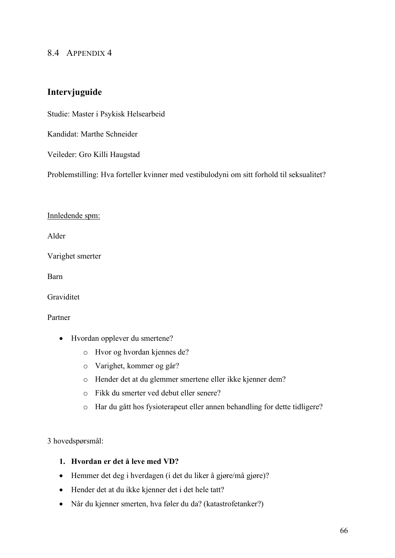### 8.4 APPENDIX 4

# **Intervjuguide**

Studie: Master i Psykisk Helsearbeid

Kandidat: Marthe Schneider

Veileder: Gro Killi Haugstad

Problemstilling: Hva forteller kvinner med vestibulodyni om sitt forhold til seksualitet?

### Innledende spm:

Alder

Varighet smerter

Barn

Graviditet

Partner

- Hvordan opplever du smertene?
	- o Hvor og hvordan kjennes de?
	- o Varighet, kommer og går?
	- o Hender det at du glemmer smertene eller ikke kjenner dem?
	- o Fikk du smerter ved debut eller senere?
	- o Har du gått hos fysioterapeut eller annen behandling for dette tidligere?

3 hovedspørsmål:

### **1. Hvordan er det å leve med VD?**

- Hemmer det deg i hverdagen (i det du liker å gjøre/må gjøre)?
- Hender det at du ikke kjenner det i det hele tatt?
- Når du kjenner smerten, hva føler du da? (katastrofetanker?)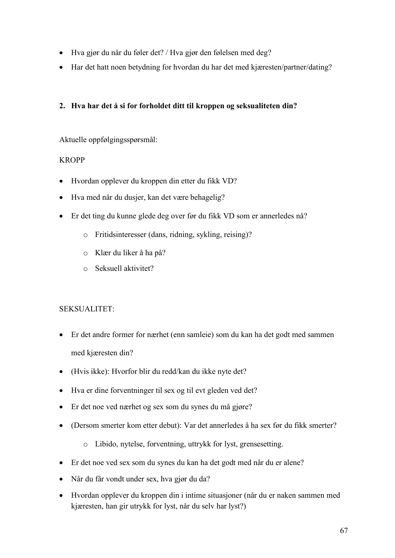- Hva gjør du når du føler det? / Hva gjør den følelsen med deg?
- Har det hatt noen betydning for hvordan du har det med kjæresten/partner/dating?

## **2. Hva har det å si for forholdet ditt til kroppen og seksualiteten din?**

Aktuelle oppfølgingsspørsmål:

### KROPP

- Hvordan opplever du kroppen din etter du fikk VD?
- Hva med når du dusjer, kan det være behagelig?
- Er det ting du kunne glede deg over før du fikk VD som er annerledes nå?
	- o Fritidsinteresser (dans, ridning, sykling, reising)?
	- o Klær du liker å ha på?
	- o Seksuell aktivitet?

## SEKSUALITET:

- Er det andre former for nærhet (enn samleie) som du kan ha det godt med sammen med kjæresten din?
- (Hvis ikke): Hvorfor blir du redd/kan du ikke nyte det?
- Hva er dine forventninger til sex og til evt gleden ved det?
- Er det noe ved nærhet og sex som du synes du må gjøre?
- (Dersom smerter kom etter debut): Var det annerledes å ha sex før du fikk smerter?
	- o Libido, nytelse, forventning, uttrykk for lyst, grensesetting.
- Er det noe ved sex som du synes du kan ha det godt med når du er alene?
- Når du får vondt under sex, hva gjør du da?
- Hvordan opplever du kroppen din i intime situasjoner (når du er naken sammen med kjæresten, han gir utrykk for lyst, når du selv har lyst?)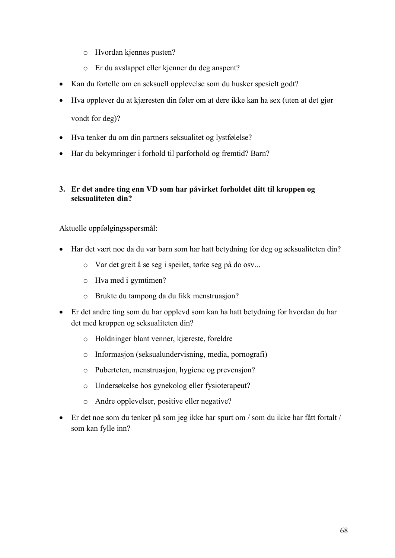- o Hvordan kjennes pusten?
- o Er du avslappet eller kjenner du deg anspent?
- Kan du fortelle om en seksuell opplevelse som du husker spesielt godt?
- Hva opplever du at kjæresten din føler om at dere ikke kan ha sex (uten at det gjør vondt for deg)?
- Hva tenker du om din partners seksualitet og lystfølelse?
- Har du bekymringer i forhold til parforhold og fremtid? Barn?

### **3. Er det andre ting enn VD som har påvirket forholdet ditt til kroppen og seksualiteten din?**

Aktuelle oppfølgingsspørsmål:

- Har det vært noe da du var barn som har hatt betydning for deg og seksualiteten din?
	- o Var det greit å se seg i speilet, tørke seg på do osv...
	- o Hva med i gymtimen?
	- o Brukte du tampong da du fikk menstruasjon?
- Er det andre ting som du har opplevd som kan ha hatt betydning for hvordan du har det med kroppen og seksualiteten din?
	- o Holdninger blant venner, kjæreste, foreldre
	- o Informasjon (seksualundervisning, media, pornografi)
	- o Puberteten, menstruasjon, hygiene og prevensjon?
	- o Undersøkelse hos gynekolog eller fysioterapeut?
	- o Andre opplevelser, positive eller negative?
- Er det noe som du tenker på som jeg ikke har spurt om / som du ikke har fått fortalt / som kan fylle inn?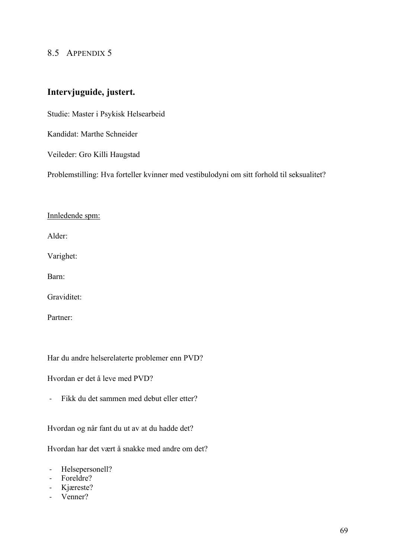### 8.5 APPENDIX 5

# **Intervjuguide, justert.**

Studie: Master i Psykisk Helsearbeid

Kandidat: Marthe Schneider

Veileder: Gro Killi Haugstad

Problemstilling: Hva forteller kvinner med vestibulodyni om sitt forhold til seksualitet?

### Innledende spm:

Alder:

Varighet:

Barn:

Graviditet:

Partner:

Har du andre helserelaterte problemer enn PVD?

Hvordan er det å leve med PVD?

- Fikk du det sammen med debut eller etter?

Hvordan og når fant du ut av at du hadde det?

Hvordan har det vært å snakke med andre om det?

- Helsepersonell?
- Foreldre?
- Kjæreste?
- Venner?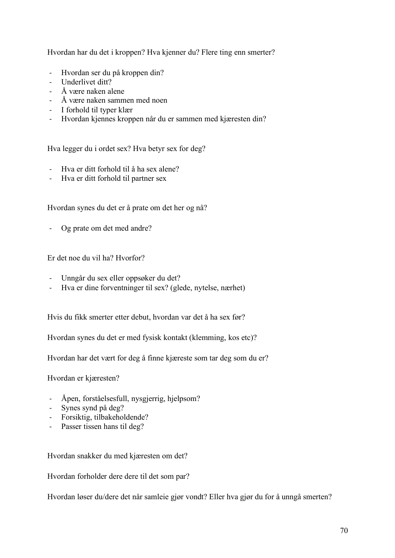Hvordan har du det i kroppen? Hva kjenner du? Flere ting enn smerter?

- Hvordan ser du på kroppen din?
- Underlivet ditt?
- Å være naken alene
- Å være naken sammen med noen
- I forhold til typer klær
- Hvordan kjennes kroppen når du er sammen med kjæresten din?

Hva legger du i ordet sex? Hva betyr sex for deg?

- Hva er ditt forhold til å ha sex alene?
- Hva er ditt forhold til partner sex

Hvordan synes du det er å prate om det her og nå?

- Og prate om det med andre?

Er det noe du vil ha? Hvorfor?

- Unngår du sex eller oppsøker du det?
- Hva er dine forventninger til sex? (glede, nytelse, nærhet)

Hvis du fikk smerter etter debut, hvordan var det å ha sex før?

Hvordan synes du det er med fysisk kontakt (klemming, kos etc)?

Hvordan har det vært for deg å finne kjæreste som tar deg som du er?

Hvordan er kjæresten?

- Åpen, forståelsesfull, nysgjerrig, hjelpsom?
- Synes synd på deg?
- Forsiktig, tilbakeholdende?
- Passer tissen hans til deg?

Hvordan snakker du med kjæresten om det?

Hvordan forholder dere dere til det som par?

Hvordan løser du/dere det når samleie gjør vondt? Eller hva gjør du for å unngå smerten?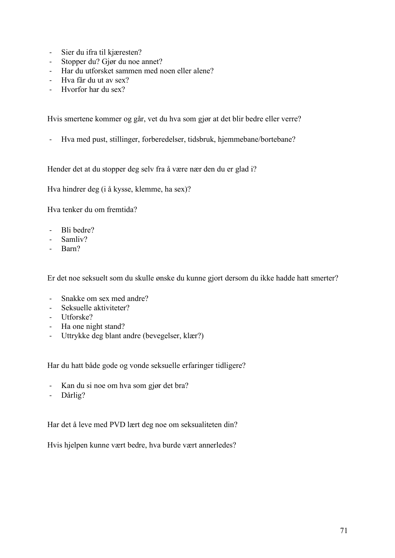- Sier du ifra til kjæresten?
- Stopper du? Gjør du noe annet?
- Har du utforsket sammen med noen eller alene?
- Hva får du ut av sex?
- Hvorfor har du sex?

Hvis smertene kommer og går, vet du hva som gjør at det blir bedre eller verre?

- Hva med pust, stillinger, forberedelser, tidsbruk, hjemmebane/bortebane?

Hender det at du stopper deg selv fra å være nær den du er glad i?

Hva hindrer deg (i å kysse, klemme, ha sex)?

Hva tenker du om fremtida?

- Bli bedre?
- Samliv?
- Barn?

Er det noe seksuelt som du skulle ønske du kunne gjort dersom du ikke hadde hatt smerter?

- Snakke om sex med andre?
- Seksuelle aktiviteter?
- Utforske?
- Ha one night stand?
- Uttrykke deg blant andre (bevegelser, klær?)

Har du hatt både gode og vonde seksuelle erfaringer tidligere?

- Kan du si noe om hva som gjør det bra?
- Dårlig?

Har det å leve med PVD lært deg noe om seksualiteten din?

Hvis hjelpen kunne vært bedre, hva burde vært annerledes?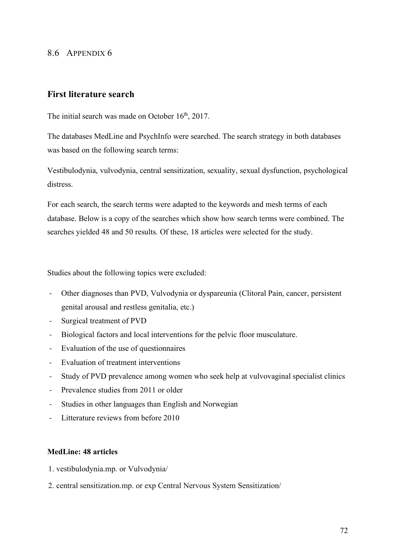# 8.6 APPENDIX 6

# **First literature search**

The initial search was made on October 16<sup>th</sup>, 2017.

The databases MedLine and PsychInfo were searched. The search strategy in both databases was based on the following search terms:

Vestibulodynia, vulvodynia, central sensitization, sexuality, sexual dysfunction, psychological distress.

For each search, the search terms were adapted to the keywords and mesh terms of each database. Below is a copy of the searches which show how search terms were combined. The searches yielded 48 and 50 results. Of these, 18 articles were selected for the study.

Studies about the following topics were excluded:

- Other diagnoses than PVD, Vulvodynia or dyspareunia (Clitoral Pain, cancer, persistent genital arousal and restless genitalia, etc.)
- Surgical treatment of PVD
- Biological factors and local interventions for the pelvic floor musculature.
- Evaluation of the use of questionnaires
- Evaluation of treatment interventions
- Study of PVD prevalence among women who seek help at vulvovaginal specialist clinics
- Prevalence studies from 2011 or older
- Studies in other languages than English and Norwegian
- Litterature reviews from before 2010

#### **MedLine: 48 articles**

- 1. vestibulodynia.mp. or Vulvodynia/
- 2. central sensitization.mp. or exp Central Nervous System Sensitization/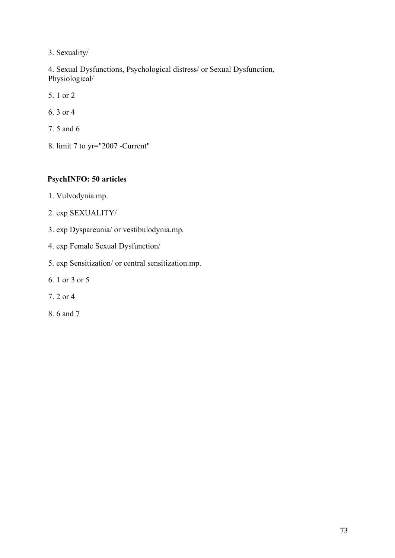3. Sexuality/

4. Sexual Dysfunctions, Psychological distress/ or Sexual Dysfunction, Physiological/

- 5. 1 or 2
- 6. 3 or 4
- 7. 5 and 6
- 8. limit 7 to yr="2007 -Current"

## **PsychINFO: 50 articles**

- 1. Vulvodynia.mp.
- 2. exp SEXUALITY/
- 3. exp Dyspareunia/ or vestibulodynia.mp.
- 4. exp Female Sexual Dysfunction/
- 5. exp Sensitization/ or central sensitization.mp.
- 6. 1 or 3 or 5
- 7. 2 or 4
- 8. 6 and 7